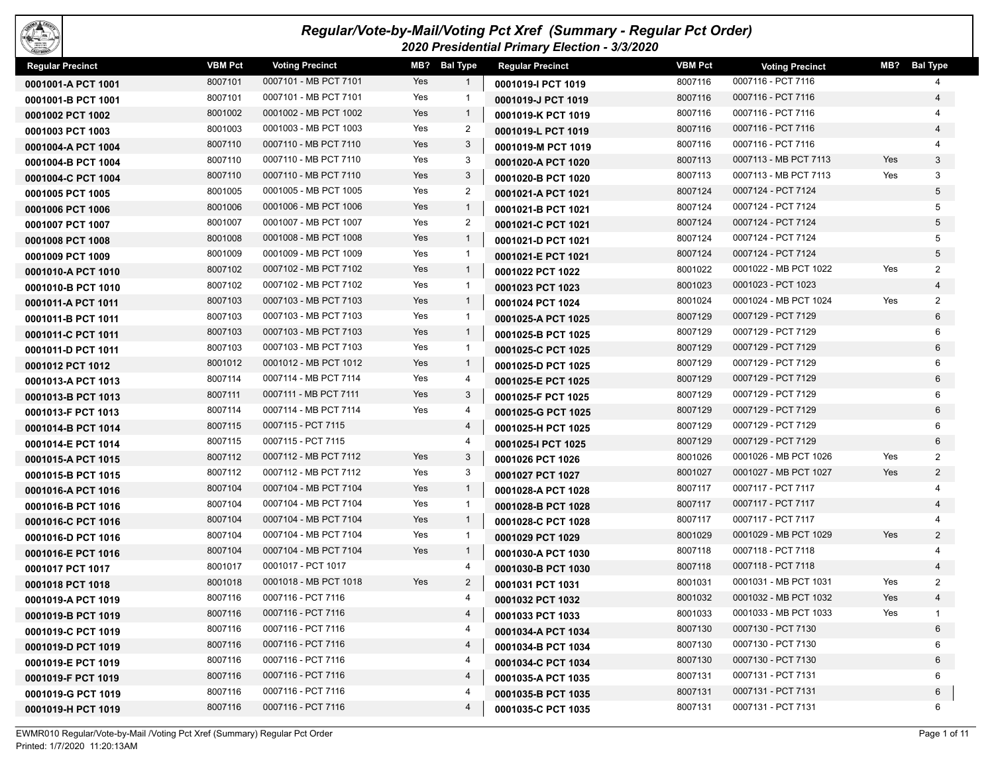| FOUX! |  |
|-------|--|
| i., n |  |

## *Regular/Vote-by-Mail/Voting Pct Xref (Summary - Regular Pct Order) 2020 Presidential Primary Election - 3/3/2020*

| <b>Regular Precinct</b> | <b>VBM Pct</b> | <b>Voting Precinct</b> | MB? | <b>Bal Type</b>         | <b>Regular Precinct</b> | <b>VBM Pct</b> | <b>Voting Precinct</b> |     | MB? Bal Type   |
|-------------------------|----------------|------------------------|-----|-------------------------|-------------------------|----------------|------------------------|-----|----------------|
| 0001001-A PCT 1001      | 8007101        | 0007101 - MB PCT 7101  | Yes | $\overline{1}$          | 0001019-I PCT 1019      | 8007116        | 0007116 - PCT 7116     |     | 4              |
| 0001001-B PCT 1001      | 8007101        | 0007101 - MB PCT 7101  | Yes | $\overline{1}$          | 0001019-J PCT 1019      | 8007116        | 0007116 - PCT 7116     |     | 4              |
| 0001002 PCT 1002        | 8001002        | 0001002 - MB PCT 1002  | Yes | $\overline{1}$          | 0001019-K PCT 1019      | 8007116        | 0007116 - PCT 7116     |     |                |
| 0001003 PCT 1003        | 8001003        | 0001003 - MB PCT 1003  | Yes | $\overline{2}$          | 0001019-L PCT 1019      | 8007116        | 0007116 - PCT 7116     |     | $\overline{4}$ |
| 0001004-A PCT 1004      | 8007110        | 0007110 - MB PCT 7110  | Yes | 3                       | 0001019-M PCT 1019      | 8007116        | 0007116 - PCT 7116     |     |                |
| 0001004-B PCT 1004      | 8007110        | 0007110 - MB PCT 7110  | Yes | 3                       | 0001020-A PCT 1020      | 8007113        | 0007113 - MB PCT 7113  | Yes | $\mathbf{3}$   |
| 0001004-C PCT 1004      | 8007110        | 0007110 - MB PCT 7110  | Yes | 3                       | 0001020-B PCT 1020      | 8007113        | 0007113 - MB PCT 7113  | Yes | 3              |
| 0001005 PCT 1005        | 8001005        | 0001005 - MB PCT 1005  | Yes | $\overline{2}$          | 0001021-A PCT 1021      | 8007124        | 0007124 - PCT 7124     |     | 5              |
| 0001006 PCT 1006        | 8001006        | 0001006 - MB PCT 1006  | Yes | $\overline{1}$          | 0001021-B PCT 1021      | 8007124        | 0007124 - PCT 7124     |     | 5              |
| 0001007 PCT 1007        | 8001007        | 0001007 - MB PCT 1007  | Yes | $\overline{2}$          | 0001021-C PCT 1021      | 8007124        | 0007124 - PCT 7124     |     | 5              |
| 0001008 PCT 1008        | 8001008        | 0001008 - MB PCT 1008  | Yes | $\overline{1}$          | 0001021-D PCT 1021      | 8007124        | 0007124 - PCT 7124     |     | 5              |
| 0001009 PCT 1009        | 8001009        | 0001009 - MB PCT 1009  | Yes | $\overline{1}$          | 0001021-E PCT 1021      | 8007124        | 0007124 - PCT 7124     |     | 5              |
| 0001010-A PCT 1010      | 8007102        | 0007102 - MB PCT 7102  | Yes | $\overline{1}$          | 0001022 PCT 1022        | 8001022        | 0001022 - MB PCT 1022  | Yes | $\overline{2}$ |
| 0001010-B PCT 1010      | 8007102        | 0007102 - MB PCT 7102  | Yes | $\overline{1}$          | 0001023 PCT 1023        | 8001023        | 0001023 - PCT 1023     |     | 4              |
| 0001011-A PCT 1011      | 8007103        | 0007103 - MB PCT 7103  | Yes | $\mathbf{1}$            | 0001024 PCT 1024        | 8001024        | 0001024 - MB PCT 1024  | Yes | 2              |
| 0001011-B PCT 1011      | 8007103        | 0007103 - MB PCT 7103  | Yes | $\overline{1}$          | 0001025-A PCT 1025      | 8007129        | 0007129 - PCT 7129     |     | 6              |
| 0001011-C PCT 1011      | 8007103        | 0007103 - MB PCT 7103  | Yes | $\overline{1}$          | 0001025-B PCT 1025      | 8007129        | 0007129 - PCT 7129     |     | 6              |
| 0001011-D PCT 1011      | 8007103        | 0007103 - MB PCT 7103  | Yes | $\overline{1}$          | 0001025-C PCT 1025      | 8007129        | 0007129 - PCT 7129     |     | 6              |
| 0001012 PCT 1012        | 8001012        | 0001012 - MB PCT 1012  | Yes | $\overline{1}$          | 0001025-D PCT 1025      | 8007129        | 0007129 - PCT 7129     |     | 6              |
| 0001013-A PCT 1013      | 8007114        | 0007114 - MB PCT 7114  | Yes | $\overline{4}$          | 0001025-E PCT 1025      | 8007129        | 0007129 - PCT 7129     |     | 6              |
| 0001013-B PCT 1013      | 8007111        | 0007111 - MB PCT 7111  | Yes | 3                       | 0001025-F PCT 1025      | 8007129        | 0007129 - PCT 7129     |     | 6              |
| 0001013-F PCT 1013      | 8007114        | 0007114 - MB PCT 7114  | Yes | 4                       | 0001025-G PCT 1025      | 8007129        | 0007129 - PCT 7129     |     | 6              |
| 0001014-B PCT 1014      | 8007115        | 0007115 - PCT 7115     |     | $\overline{4}$          | 0001025-H PCT 1025      | 8007129        | 0007129 - PCT 7129     |     | 6              |
| 0001014-E PCT 1014      | 8007115        | 0007115 - PCT 7115     |     | 4                       | 0001025-I PCT 1025      | 8007129        | 0007129 - PCT 7129     |     | 6              |
| 0001015-A PCT 1015      | 8007112        | 0007112 - MB PCT 7112  | Yes | $\mathbf{3}$            | 0001026 PCT 1026        | 8001026        | 0001026 - MB PCT 1026  | Yes | $\overline{2}$ |
| 0001015-B PCT 1015      | 8007112        | 0007112 - MB PCT 7112  | Yes | 3                       | 0001027 PCT 1027        | 8001027        | 0001027 - MB PCT 1027  | Yes | $\overline{2}$ |
| 0001016-A PCT 1016      | 8007104        | 0007104 - MB PCT 7104  | Yes | $\overline{1}$          | 0001028-A PCT 1028      | 8007117        | 0007117 - PCT 7117     |     | 4              |
| 0001016-B PCT 1016      | 8007104        | 0007104 - MB PCT 7104  | Yes | $\overline{1}$          | 0001028-B PCT 1028      | 8007117        | 0007117 - PCT 7117     |     | 4              |
| 0001016-C PCT 1016      | 8007104        | 0007104 - MB PCT 7104  | Yes | $\overline{1}$          | 0001028-C PCT 1028      | 8007117        | 0007117 - PCT 7117     |     |                |
| 0001016-D PCT 1016      | 8007104        | 0007104 - MB PCT 7104  | Yes | $\overline{1}$          | 0001029 PCT 1029        | 8001029        | 0001029 - MB PCT 1029  | Yes | $\overline{2}$ |
| 0001016-E PCT 1016      | 8007104        | 0007104 - MB PCT 7104  | Yes | $\overline{1}$          | 0001030-A PCT 1030      | 8007118        | 0007118 - PCT 7118     |     |                |
| 0001017 PCT 1017        | 8001017        | 0001017 - PCT 1017     |     | 4                       | 0001030-B PCT 1030      | 8007118        | 0007118 - PCT 7118     |     | $\overline{4}$ |
| 0001018 PCT 1018        | 8001018        | 0001018 - MB PCT 1018  | Yes | $\overline{2}$          | 0001031 PCT 1031        | 8001031        | 0001031 - MB PCT 1031  | Yes | $\overline{2}$ |
| 0001019-A PCT 1019      | 8007116        | 0007116 - PCT 7116     |     | 4                       | 0001032 PCT 1032        | 8001032        | 0001032 - MB PCT 1032  | Yes | $\overline{4}$ |
| 0001019-B PCT 1019      | 8007116        | 0007116 - PCT 7116     |     | $\overline{\mathbf{4}}$ | 0001033 PCT 1033        | 8001033        | 0001033 - MB PCT 1033  | Yes | $\mathbf{1}$   |
| 0001019-C PCT 1019      | 8007116        | 0007116 - PCT 7116     |     | 4                       | 0001034-A PCT 1034      | 8007130        | 0007130 - PCT 7130     |     | 6              |
| 0001019-D PCT 1019      | 8007116        | 0007116 - PCT 7116     |     | 4                       | 0001034-B PCT 1034      | 8007130        | 0007130 - PCT 7130     |     | 6              |
| 0001019-E PCT 1019      | 8007116        | 0007116 - PCT 7116     |     | 4                       | 0001034-C PCT 1034      | 8007130        | 0007130 - PCT 7130     |     | 6              |
| 0001019-F PCT 1019      | 8007116        | 0007116 - PCT 7116     |     | $\overline{4}$          | 0001035-A PCT 1035      | 8007131        | 0007131 - PCT 7131     |     | 6              |
| 0001019-G PCT 1019      | 8007116        | 0007116 - PCT 7116     |     | 4                       | 0001035-B PCT 1035      | 8007131        | 0007131 - PCT 7131     |     | 6              |
| 0001019-H PCT 1019      | 8007116        | 0007116 - PCT 7116     |     | 4                       | 0001035-C PCT 1035      | 8007131        | 0007131 - PCT 7131     |     | 6              |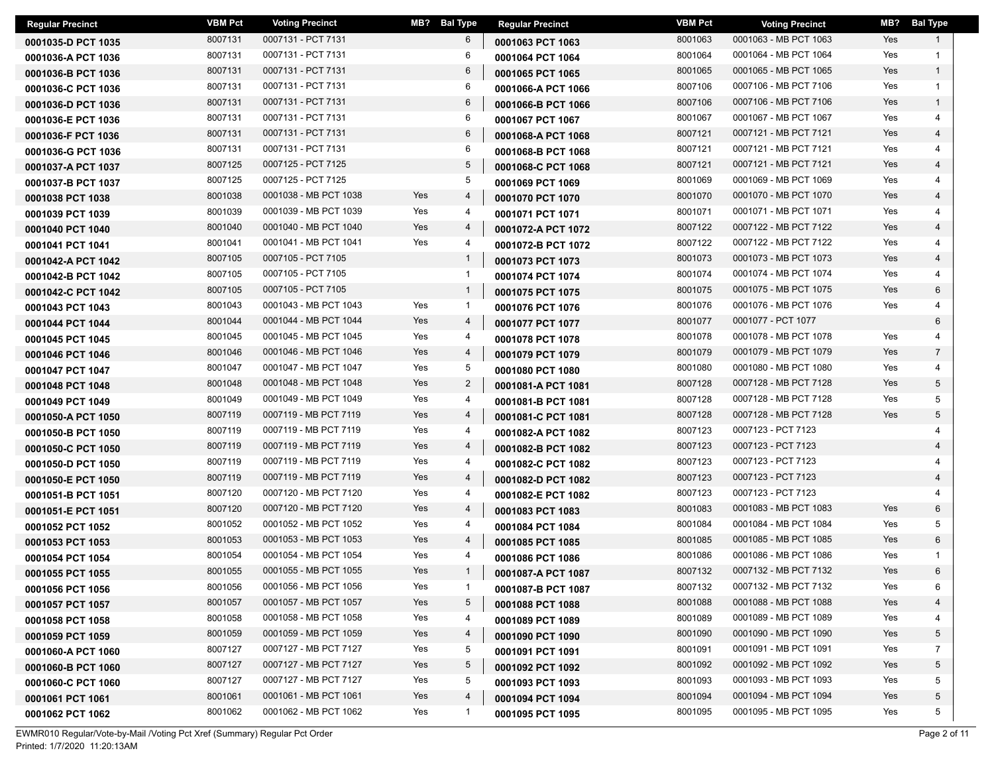| <b>Regular Precinct</b> | <b>VBM Pct</b> | <b>Voting Precinct</b> |     | MB? Bal Type   | <b>Regular Precinct</b> | <b>VBM Pct</b> | <b>Voting Precinct</b> | MB? | <b>Bal Type</b> |
|-------------------------|----------------|------------------------|-----|----------------|-------------------------|----------------|------------------------|-----|-----------------|
| 0001035-D PCT 1035      | 8007131        | 0007131 - PCT 7131     |     | 6              | 0001063 PCT 1063        | 8001063        | 0001063 - MB PCT 1063  | Yes | 1               |
| 0001036-A PCT 1036      | 8007131        | 0007131 - PCT 7131     |     | 6              | 0001064 PCT 1064        | 8001064        | 0001064 - MB PCT 1064  | Yes | $\mathbf{1}$    |
| 0001036-B PCT 1036      | 8007131        | 0007131 - PCT 7131     |     | 6              | 0001065 PCT 1065        | 8001065        | 0001065 - MB PCT 1065  | Yes | $\mathbf{1}$    |
| 0001036-C PCT 1036      | 8007131        | 0007131 - PCT 7131     |     | 6              | 0001066-A PCT 1066      | 8007106        | 0007106 - MB PCT 7106  | Yes | $\mathbf{1}$    |
| 0001036-D PCT 1036      | 8007131        | 0007131 - PCT 7131     |     | 6              | 0001066-B PCT 1066      | 8007106        | 0007106 - MB PCT 7106  | Yes | $\mathbf{1}$    |
| 0001036-E PCT 1036      | 8007131        | 0007131 - PCT 7131     |     | 6              | 0001067 PCT 1067        | 8001067        | 0001067 - MB PCT 1067  | Yes | $\overline{4}$  |
| 0001036-F PCT 1036      | 8007131        | 0007131 - PCT 7131     |     | 6              | 0001068-A PCT 1068      | 8007121        | 0007121 - MB PCT 7121  | Yes | $\overline{4}$  |
| 0001036-G PCT 1036      | 8007131        | 0007131 - PCT 7131     |     | 6              | 0001068-B PCT 1068      | 8007121        | 0007121 - MB PCT 7121  | Yes |                 |
| 0001037-A PCT 1037      | 8007125        | 0007125 - PCT 7125     |     | 5              | 0001068-C PCT 1068      | 8007121        | 0007121 - MB PCT 7121  | Yes | $\overline{4}$  |
| 0001037-B PCT 1037      | 8007125        | 0007125 - PCT 7125     |     | 5              | 0001069 PCT 1069        | 8001069        | 0001069 - MB PCT 1069  | Yes | 4               |
| 0001038 PCT 1038        | 8001038        | 0001038 - MB PCT 1038  | Yes | 4              | 0001070 PCT 1070        | 8001070        | 0001070 - MB PCT 1070  | Yes | $\overline{4}$  |
| 0001039 PCT 1039        | 8001039        | 0001039 - MB PCT 1039  | Yes | 4              | 0001071 PCT 1071        | 8001071        | 0001071 - MB PCT 1071  | Yes | 4               |
| 0001040 PCT 1040        | 8001040        | 0001040 - MB PCT 1040  | Yes | 4              | 0001072-A PCT 1072      | 8007122        | 0007122 - MB PCT 7122  | Yes | $\overline{4}$  |
| 0001041 PCT 1041        | 8001041        | 0001041 - MB PCT 1041  | Yes | 4              | 0001072-B PCT 1072      | 8007122        | 0007122 - MB PCT 7122  | Yes | 4               |
| 0001042-A PCT 1042      | 8007105        | 0007105 - PCT 7105     |     | $\mathbf{1}$   | 0001073 PCT 1073        | 8001073        | 0001073 - MB PCT 1073  | Yes | $\overline{4}$  |
| 0001042-B PCT 1042      | 8007105        | 0007105 - PCT 7105     |     | $\mathbf{1}$   | 0001074 PCT 1074        | 8001074        | 0001074 - MB PCT 1074  | Yes | 4               |
| 0001042-C PCT 1042      | 8007105        | 0007105 - PCT 7105     |     | $\mathbf{1}$   | 0001075 PCT 1075        | 8001075        | 0001075 - MB PCT 1075  | Yes | 6               |
| 0001043 PCT 1043        | 8001043        | 0001043 - MB PCT 1043  | Yes | $\overline{1}$ | 0001076 PCT 1076        | 8001076        | 0001076 - MB PCT 1076  | Yes | 4               |
| 0001044 PCT 1044        | 8001044        | 0001044 - MB PCT 1044  | Yes | $\overline{4}$ | 0001077 PCT 1077        | 8001077        | 0001077 - PCT 1077     |     | 6               |
| 0001045 PCT 1045        | 8001045        | 0001045 - MB PCT 1045  | Yes | 4              | 0001078 PCT 1078        | 8001078        | 0001078 - MB PCT 1078  | Yes |                 |
| 0001046 PCT 1046        | 8001046        | 0001046 - MB PCT 1046  | Yes | 4              | 0001079 PCT 1079        | 8001079        | 0001079 - MB PCT 1079  | Yes | $\overline{7}$  |
| 0001047 PCT 1047        | 8001047        | 0001047 - MB PCT 1047  | Yes | 5              | 0001080 PCT 1080        | 8001080        | 0001080 - MB PCT 1080  | Yes | 4               |
| 0001048 PCT 1048        | 8001048        | 0001048 - MB PCT 1048  | Yes | $\overline{2}$ | 0001081-A PCT 1081      | 8007128        | 0007128 - MB PCT 7128  | Yes | 5               |
| 0001049 PCT 1049        | 8001049        | 0001049 - MB PCT 1049  | Yes | 4              | 0001081-B PCT 1081      | 8007128        | 0007128 - MB PCT 7128  | Yes | 5               |
| 0001050-A PCT 1050      | 8007119        | 0007119 - MB PCT 7119  | Yes | 4              | 0001081-C PCT 1081      | 8007128        | 0007128 - MB PCT 7128  | Yes | 5               |
| 0001050-B PCT 1050      | 8007119        | 0007119 - MB PCT 7119  | Yes | 4              | 0001082-A PCT 1082      | 8007123        | 0007123 - PCT 7123     |     |                 |
| 0001050-C PCT 1050      | 8007119        | 0007119 - MB PCT 7119  | Yes | 4              | 0001082-B PCT 1082      | 8007123        | 0007123 - PCT 7123     |     |                 |
| 0001050-D PCT 1050      | 8007119        | 0007119 - MB PCT 7119  | Yes | 4              | 0001082-C PCT 1082      | 8007123        | 0007123 - PCT 7123     |     |                 |
| 0001050-E PCT 1050      | 8007119        | 0007119 - MB PCT 7119  | Yes | 4              | 0001082-D PCT 1082      | 8007123        | 0007123 - PCT 7123     |     |                 |
| 0001051-B PCT 1051      | 8007120        | 0007120 - MB PCT 7120  | Yes | 4              | 0001082-E PCT 1082      | 8007123        | 0007123 - PCT 7123     |     |                 |
| 0001051-E PCT 1051      | 8007120        | 0007120 - MB PCT 7120  | Yes | 4              | 0001083 PCT 1083        | 8001083        | 0001083 - MB PCT 1083  | Yes | 6               |
| 0001052 PCT 1052        | 8001052        | 0001052 - MB PCT 1052  | Yes | 4              | 0001084 PCT 1084        | 8001084        | 0001084 - MB PCT 1084  | Yes | 5               |
| 0001053 PCT 1053        | 8001053        | 0001053 - MB PCT 1053  | Yes | 4              | 0001085 PCT 1085        | 8001085        | 0001085 - MB PCT 1085  | Yes | 6               |
| 0001054 PCT 1054        | 8001054        | 0001054 - MB PCT 1054  | Yes | 4              | 0001086 PCT 1086        | 8001086        | 0001086 - MB PCT 1086  | Yes |                 |
| 0001055 PCT 1055        | 8001055        | 0001055 - MB PCT 1055  | Yes | $\mathbf{1}$   | 0001087-A PCT 1087      | 8007132        | 0007132 - MB PCT 7132  | Yes | 6               |
| 0001056 PCT 1056        | 8001056        | 0001056 - MB PCT 1056  | Yes | $\mathbf{1}$   | 0001087-B PCT 1087      | 8007132        | 0007132 - MB PCT 7132  | Yes | 6               |
| 0001057 PCT 1057        | 8001057        | 0001057 - MB PCT 1057  | Yes | 5              | 0001088 PCT 1088        | 8001088        | 0001088 - MB PCT 1088  | Yes | 4               |
| 0001058 PCT 1058        | 8001058        | 0001058 - MB PCT 1058  | Yes | 4              | 0001089 PCT 1089        | 8001089        | 0001089 - MB PCT 1089  | Yes | 4               |
| 0001059 PCT 1059        | 8001059        | 0001059 - MB PCT 1059  | Yes | 4              | 0001090 PCT 1090        | 8001090        | 0001090 - MB PCT 1090  | Yes | 5               |
| 0001060-A PCT 1060      | 8007127        | 0007127 - MB PCT 7127  | Yes | 5              | 0001091 PCT 1091        | 8001091        | 0001091 - MB PCT 1091  | Yes | 7               |
| 0001060-B PCT 1060      | 8007127        | 0007127 - MB PCT 7127  | Yes | 5              | 0001092 PCT 1092        | 8001092        | 0001092 - MB PCT 1092  | Yes | 5               |
| 0001060-C PCT 1060      | 8007127        | 0007127 - MB PCT 7127  | Yes | 5              | 0001093 PCT 1093        | 8001093        | 0001093 - MB PCT 1093  | Yes | 5               |
| 0001061 PCT 1061        | 8001061        | 0001061 - MB PCT 1061  | Yes | 4              | 0001094 PCT 1094        | 8001094        | 0001094 - MB PCT 1094  | Yes | 5               |
| 0001062 PCT 1062        | 8001062        | 0001062 - MB PCT 1062  | Yes | -1             | 0001095 PCT 1095        | 8001095        | 0001095 - MB PCT 1095  | Yes | 5               |

EWMR010 Regular/Vote-by-Mail /Voting Pct Xref (Summary) Regular Pct Order Page 2 of 11 Printed: 1/7/2020 11:20:13AM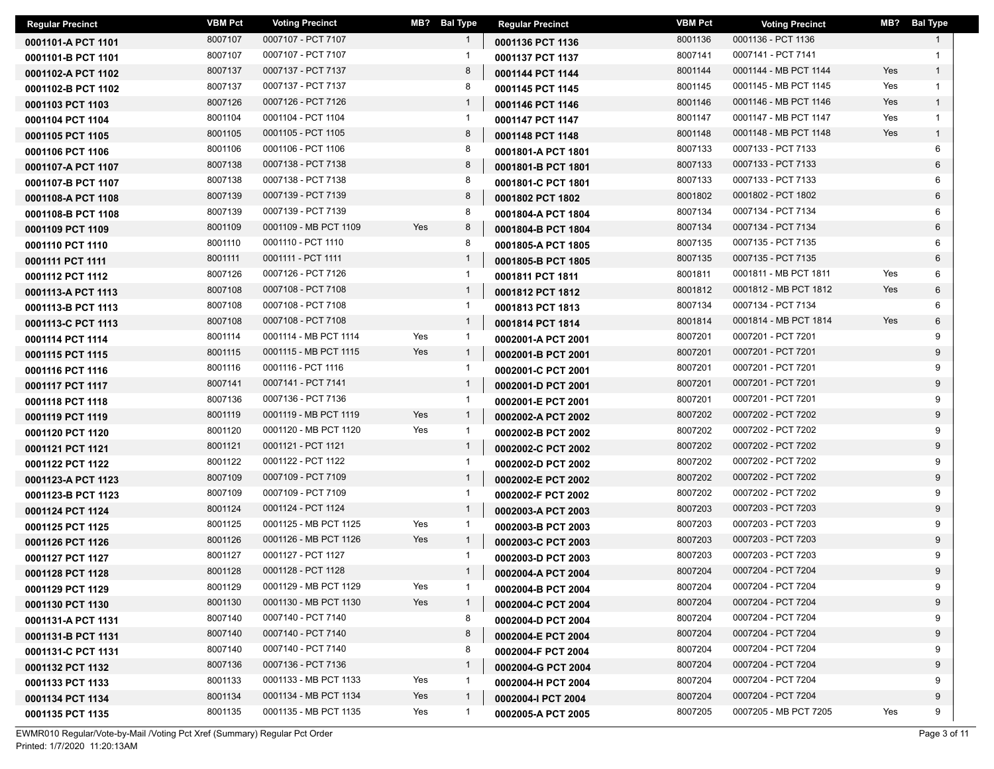| <b>Regular Precinct</b> | <b>VBM Pct</b> | <b>Voting Precinct</b> | MB? Bal Type        | <b>Regular Precinct</b> | <b>VBM Pct</b> | <b>Voting Precinct</b> |     | MB? Bal Type |
|-------------------------|----------------|------------------------|---------------------|-------------------------|----------------|------------------------|-----|--------------|
| 0001101-A PCT 1101      | 8007107        | 0007107 - PCT 7107     | $\mathbf{1}$        | 0001136 PCT 1136        | 8001136        | 0001136 - PCT 1136     |     |              |
| 0001101-B PCT 1101      | 8007107        | 0007107 - PCT 7107     | 1                   | 0001137 PCT 1137        | 8007141        | 0007141 - PCT 7141     |     |              |
| 0001102-A PCT 1102      | 8007137        | 0007137 - PCT 7137     | 8                   | 0001144 PCT 1144        | 8001144        | 0001144 - MB PCT 1144  | Yes | $\mathbf{1}$ |
| 0001102-B PCT 1102      | 8007137        | 0007137 - PCT 7137     | 8                   | 0001145 PCT 1145        | 8001145        | 0001145 - MB PCT 1145  | Yes | $\mathbf{1}$ |
| 0001103 PCT 1103        | 8007126        | 0007126 - PCT 7126     | $\mathbf{1}$        | 0001146 PCT 1146        | 8001146        | 0001146 - MB PCT 1146  | Yes | $\mathbf{1}$ |
| 0001104 PCT 1104        | 8001104        | 0001104 - PCT 1104     | $\mathbf{1}$        | 0001147 PCT 1147        | 8001147        | 0001147 - MB PCT 1147  | Yes | $\mathbf{1}$ |
| 0001105 PCT 1105        | 8001105        | 0001105 - PCT 1105     | 8                   | 0001148 PCT 1148        | 8001148        | 0001148 - MB PCT 1148  | Yes | $\mathbf{1}$ |
| 0001106 PCT 1106        | 8001106        | 0001106 - PCT 1106     | 8                   | 0001801-A PCT 1801      | 8007133        | 0007133 - PCT 7133     |     | 6            |
| 0001107-A PCT 1107      | 8007138        | 0007138 - PCT 7138     | 8                   | 0001801-B PCT 1801      | 8007133        | 0007133 - PCT 7133     |     | 6            |
| 0001107-B PCT 1107      | 8007138        | 0007138 - PCT 7138     | 8                   | 0001801-C PCT 1801      | 8007133        | 0007133 - PCT 7133     |     | 6            |
| 0001108-A PCT 1108      | 8007139        | 0007139 - PCT 7139     | 8                   | 0001802 PCT 1802        | 8001802        | 0001802 - PCT 1802     |     | 6            |
| 0001108-B PCT 1108      | 8007139        | 0007139 - PCT 7139     | 8                   | 0001804-A PCT 1804      | 8007134        | 0007134 - PCT 7134     |     | 6            |
| 0001109 PCT 1109        | 8001109        | 0001109 - MB PCT 1109  | Yes<br>8            | 0001804-B PCT 1804      | 8007134        | 0007134 - PCT 7134     |     | 6            |
| 0001110 PCT 1110        | 8001110        | 0001110 - PCT 1110     | 8                   | 0001805-A PCT 1805      | 8007135        | 0007135 - PCT 7135     |     | 6            |
| 0001111 PCT 1111        | 8001111        | 0001111 - PCT 1111     | $\mathbf{1}$        | 0001805-B PCT 1805      | 8007135        | 0007135 - PCT 7135     |     | 6            |
| 0001112 PCT 1112        | 8007126        | 0007126 - PCT 7126     | $\mathbf{1}$        | 0001811 PCT 1811        | 8001811        | 0001811 - MB PCT 1811  | Yes | 6            |
| 0001113-A PCT 1113      | 8007108        | 0007108 - PCT 7108     | $\mathbf{1}$        | 0001812 PCT 1812        | 8001812        | 0001812 - MB PCT 1812  | Yes | 6            |
| 0001113-B PCT 1113      | 8007108        | 0007108 - PCT 7108     | $\mathbf{1}$        | 0001813 PCT 1813        | 8007134        | 0007134 - PCT 7134     |     | 6            |
| 0001113-C PCT 1113      | 8007108        | 0007108 - PCT 7108     | $\mathbf{1}$        | 0001814 PCT 1814        | 8001814        | 0001814 - MB PCT 1814  | Yes | 6            |
| 0001114 PCT 1114        | 8001114        | 0001114 - MB PCT 1114  | Yes<br>$\mathbf{1}$ | 0002001-A PCT 2001      | 8007201        | 0007201 - PCT 7201     |     | 9            |
| 0001115 PCT 1115        | 8001115        | 0001115 - MB PCT 1115  | Yes<br>$\mathbf{1}$ | 0002001-B PCT 2001      | 8007201        | 0007201 - PCT 7201     |     | 9            |
| 0001116 PCT 1116        | 8001116        | 0001116 - PCT 1116     | $\mathbf{1}$        | 0002001-C PCT 2001      | 8007201        | 0007201 - PCT 7201     |     | 9            |
| 0001117 PCT 1117        | 8007141        | 0007141 - PCT 7141     | $\mathbf{1}$        | 0002001-D PCT 2001      | 8007201        | 0007201 - PCT 7201     |     | 9            |
| 0001118 PCT 1118        | 8007136        | 0007136 - PCT 7136     | $\mathbf{1}$        | 0002001-E PCT 2001      | 8007201        | 0007201 - PCT 7201     |     | 9            |
| 0001119 PCT 1119        | 8001119        | 0001119 - MB PCT 1119  | Yes<br>$\mathbf{1}$ | 0002002-A PCT 2002      | 8007202        | 0007202 - PCT 7202     |     | 9            |
| 0001120 PCT 1120        | 8001120        | 0001120 - MB PCT 1120  | Yes<br>$\mathbf{1}$ | 0002002-B PCT 2002      | 8007202        | 0007202 - PCT 7202     |     | 9            |
| 0001121 PCT 1121        | 8001121        | 0001121 - PCT 1121     | $\mathbf{1}$        | 0002002-C PCT 2002      | 8007202        | 0007202 - PCT 7202     |     | 9            |
| 0001122 PCT 1122        | 8001122        | 0001122 - PCT 1122     | $\mathbf{1}$        | 0002002-D PCT 2002      | 8007202        | 0007202 - PCT 7202     |     | 9            |
| 0001123-A PCT 1123      | 8007109        | 0007109 - PCT 7109     | $\mathbf{1}$        | 0002002-E PCT 2002      | 8007202        | 0007202 - PCT 7202     |     | 9            |
| 0001123-B PCT 1123      | 8007109        | 0007109 - PCT 7109     | $\mathbf{1}$        | 0002002-F PCT 2002      | 8007202        | 0007202 - PCT 7202     |     | 9            |
| 0001124 PCT 1124        | 8001124        | 0001124 - PCT 1124     | $\mathbf{1}$        | 0002003-A PCT 2003      | 8007203        | 0007203 - PCT 7203     |     | 9            |
| 0001125 PCT 1125        | 8001125        | 0001125 - MB PCT 1125  | Yes<br>$\mathbf{1}$ | 0002003-B PCT 2003      | 8007203        | 0007203 - PCT 7203     |     | 9            |
| 0001126 PCT 1126        | 8001126        | 0001126 - MB PCT 1126  | Yes<br>$\mathbf{1}$ | 0002003-C PCT 2003      | 8007203        | 0007203 - PCT 7203     |     | 9            |
| 0001127 PCT 1127        | 8001127        | 0001127 - PCT 1127     | -1                  | 0002003-D PCT 2003      | 8007203        | 0007203 - PCT 7203     |     | 9            |
| 0001128 PCT 1128        | 8001128        | 0001128 - PCT 1128     | $\mathbf{1}$        | 0002004-A PCT 2004      | 8007204        | 0007204 - PCT 7204     |     | 9            |
| 0001129 PCT 1129        | 8001129        | 0001129 - MB PCT 1129  | Yes<br>$\mathbf{1}$ | 0002004-B PCT 2004      | 8007204        | 0007204 - PCT 7204     |     | 9            |
| 0001130 PCT 1130        | 8001130        | 0001130 - MB PCT 1130  | Yes<br>$\mathbf{1}$ | 0002004-C PCT 2004      | 8007204        | 0007204 - PCT 7204     |     | 9            |
| 0001131-A PCT 1131      | 8007140        | 0007140 - PCT 7140     | 8                   | 0002004-D PCT 2004      | 8007204        | 0007204 - PCT 7204     |     | 9            |
| 0001131-B PCT 1131      | 8007140        | 0007140 - PCT 7140     | 8                   | 0002004-E PCT 2004      | 8007204        | 0007204 - PCT 7204     |     | 9            |
| 0001131-C PCT 1131      | 8007140        | 0007140 - PCT 7140     | 8                   | 0002004-F PCT 2004      | 8007204        | 0007204 - PCT 7204     |     | 9            |
| 0001132 PCT 1132        | 8007136        | 0007136 - PCT 7136     | $\mathbf{1}$        | 0002004-G PCT 2004      | 8007204        | 0007204 - PCT 7204     |     | 9            |
| 0001133 PCT 1133        | 8001133        | 0001133 - MB PCT 1133  | Yes<br>$\mathbf{1}$ | 0002004-H PCT 2004      | 8007204        | 0007204 - PCT 7204     |     | 9            |
| 0001134 PCT 1134        | 8001134        | 0001134 - MB PCT 1134  | Yes<br>$\mathbf{1}$ | 0002004-I PCT 2004      | 8007204        | 0007204 - PCT 7204     |     | 9            |
| 0001135 PCT 1135        | 8001135        | 0001135 - MB PCT 1135  | Yes<br>$\mathbf{1}$ | 0002005-A PCT 2005      | 8007205        | 0007205 - MB PCT 7205  | Yes | 9            |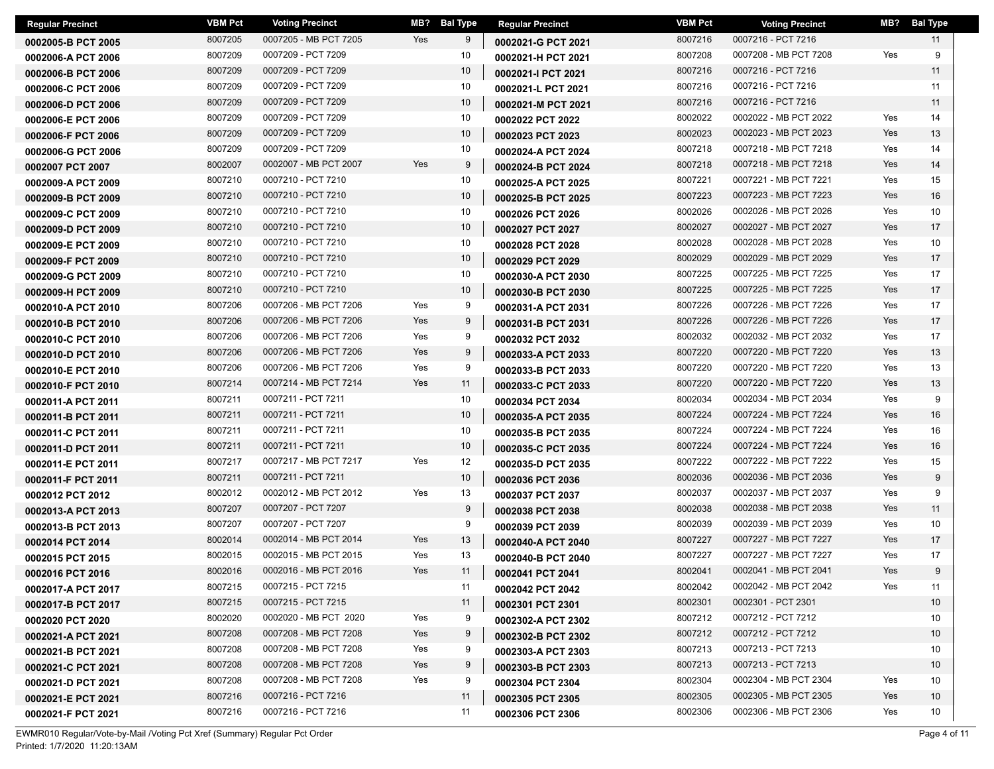| <b>Regular Precinct</b> | VBM Pct | <b>Voting Precinct</b> | MB? | <b>Bal Type</b> | <b>Regular Precinct</b> | <b>VBM Pct</b> | <b>Voting Precinct</b> | MB? | <b>Bal Type</b> |
|-------------------------|---------|------------------------|-----|-----------------|-------------------------|----------------|------------------------|-----|-----------------|
| 0002005-B PCT 2005      | 8007205 | 0007205 - MB PCT 7205  | Yes | 9               | 0002021-G PCT 2021      | 8007216        | 0007216 - PCT 7216     |     | 11              |
| 0002006-A PCT 2006      | 8007209 | 0007209 - PCT 7209     |     | 10              | 0002021-H PCT 2021      | 8007208        | 0007208 - MB PCT 7208  | Yes | 9               |
| 0002006-B PCT 2006      | 8007209 | 0007209 - PCT 7209     |     | 10              | 0002021-I PCT 2021      | 8007216        | 0007216 - PCT 7216     |     | 11              |
| 0002006-C PCT 2006      | 8007209 | 0007209 - PCT 7209     |     | 10              | 0002021-L PCT 2021      | 8007216        | 0007216 - PCT 7216     |     | 11              |
| 0002006-D PCT 2006      | 8007209 | 0007209 - PCT 7209     |     | 10              | 0002021-M PCT 2021      | 8007216        | 0007216 - PCT 7216     |     | 11              |
| 0002006-E PCT 2006      | 8007209 | 0007209 - PCT 7209     |     | 10              | 0002022 PCT 2022        | 8002022        | 0002022 - MB PCT 2022  | Yes | 14              |
| 0002006-F PCT 2006      | 8007209 | 0007209 - PCT 7209     |     | 10              | 0002023 PCT 2023        | 8002023        | 0002023 - MB PCT 2023  | Yes | 13              |
| 0002006-G PCT 2006      | 8007209 | 0007209 - PCT 7209     |     | 10              | 0002024-A PCT 2024      | 8007218        | 0007218 - MB PCT 7218  | Yes | 14              |
| 0002007 PCT 2007        | 8002007 | 0002007 - MB PCT 2007  | Yes | 9               | 0002024-B PCT 2024      | 8007218        | 0007218 - MB PCT 7218  | Yes | 14              |
| 0002009-A PCT 2009      | 8007210 | 0007210 - PCT 7210     |     | 10              | 0002025-A PCT 2025      | 8007221        | 0007221 - MB PCT 7221  | Yes | 15              |
| 0002009-B PCT 2009      | 8007210 | 0007210 - PCT 7210     |     | 10              | 0002025-B PCT 2025      | 8007223        | 0007223 - MB PCT 7223  | Yes | 16              |
| 0002009-C PCT 2009      | 8007210 | 0007210 - PCT 7210     |     | 10              | 0002026 PCT 2026        | 8002026        | 0002026 - MB PCT 2026  | Yes | 10              |
| 0002009-D PCT 2009      | 8007210 | 0007210 - PCT 7210     |     | 10              | 0002027 PCT 2027        | 8002027        | 0002027 - MB PCT 2027  | Yes | 17              |
| 0002009-E PCT 2009      | 8007210 | 0007210 - PCT 7210     |     | 10              | 0002028 PCT 2028        | 8002028        | 0002028 - MB PCT 2028  | Yes | 10              |
| 0002009-F PCT 2009      | 8007210 | 0007210 - PCT 7210     |     | 10              | 0002029 PCT 2029        | 8002029        | 0002029 - MB PCT 2029  | Yes | 17              |
| 0002009-G PCT 2009      | 8007210 | 0007210 - PCT 7210     |     | 10              | 0002030-A PCT 2030      | 8007225        | 0007225 - MB PCT 7225  | Yes | 17              |
| 0002009-H PCT 2009      | 8007210 | 0007210 - PCT 7210     |     | 10              | 0002030-B PCT 2030      | 8007225        | 0007225 - MB PCT 7225  | Yes | 17              |
| 0002010-A PCT 2010      | 8007206 | 0007206 - MB PCT 7206  | Yes | 9               | 0002031-A PCT 2031      | 8007226        | 0007226 - MB PCT 7226  | Yes | 17              |
| 0002010-B PCT 2010      | 8007206 | 0007206 - MB PCT 7206  | Yes | 9               | 0002031-B PCT 2031      | 8007226        | 0007226 - MB PCT 7226  | Yes | 17              |
| 0002010-C PCT 2010      | 8007206 | 0007206 - MB PCT 7206  | Yes | 9               | 0002032 PCT 2032        | 8002032        | 0002032 - MB PCT 2032  | Yes | 17              |
| 0002010-D PCT 2010      | 8007206 | 0007206 - MB PCT 7206  | Yes | 9               | 0002033-A PCT 2033      | 8007220        | 0007220 - MB PCT 7220  | Yes | 13              |
| 0002010-E PCT 2010      | 8007206 | 0007206 - MB PCT 7206  | Yes | 9               | 0002033-B PCT 2033      | 8007220        | 0007220 - MB PCT 7220  | Yes | 13              |
| 0002010-F PCT 2010      | 8007214 | 0007214 - MB PCT 7214  | Yes | 11              | 0002033-C PCT 2033      | 8007220        | 0007220 - MB PCT 7220  | Yes | 13              |
| 0002011-A PCT 2011      | 8007211 | 0007211 - PCT 7211     |     | 10              | 0002034 PCT 2034        | 8002034        | 0002034 - MB PCT 2034  | Yes | 9               |
| 0002011-B PCT 2011      | 8007211 | 0007211 - PCT 7211     |     | 10              | 0002035-A PCT 2035      | 8007224        | 0007224 - MB PCT 7224  | Yes | 16              |
| 0002011-C PCT 2011      | 8007211 | 0007211 - PCT 7211     |     | 10              | 0002035-B PCT 2035      | 8007224        | 0007224 - MB PCT 7224  | Yes | 16              |
| 0002011-D PCT 2011      | 8007211 | 0007211 - PCT 7211     |     | 10              | 0002035-C PCT 2035      | 8007224        | 0007224 - MB PCT 7224  | Yes | 16              |
| 0002011-E PCT 2011      | 8007217 | 0007217 - MB PCT 7217  | Yes | 12              | 0002035-D PCT 2035      | 8007222        | 0007222 - MB PCT 7222  | Yes | 15              |
| 0002011-F PCT 2011      | 8007211 | 0007211 - PCT 7211     |     | 10              | 0002036 PCT 2036        | 8002036        | 0002036 - MB PCT 2036  | Yes | 9               |
| 0002012 PCT 2012        | 8002012 | 0002012 - MB PCT 2012  | Yes | 13              | 0002037 PCT 2037        | 8002037        | 0002037 - MB PCT 2037  | Yes | 9               |
| 0002013-A PCT 2013      | 8007207 | 0007207 - PCT 7207     |     | 9               | 0002038 PCT 2038        | 8002038        | 0002038 - MB PCT 2038  | Yes | 11              |
| 0002013-B PCT 2013      | 8007207 | 0007207 - PCT 7207     |     | 9               | 0002039 PCT 2039        | 8002039        | 0002039 - MB PCT 2039  | Yes | 10              |
| 0002014 PCT 2014        | 8002014 | 0002014 - MB PCT 2014  | Yes | 13              | 0002040-A PCT 2040      | 8007227        | 0007227 - MB PCT 7227  | Yes | 17              |
| 0002015 PCT 2015        | 8002015 | 0002015 - MB PCT 2015  | Yes | 13              | 0002040-B PCT 2040      | 8007227        | 0007227 - MB PCT 7227  | Yes | 17              |
| 0002016 PCT 2016        | 8002016 | 0002016 - MB PCT 2016  | Yes | 11              | 0002041 PCT 2041        | 8002041        | 0002041 - MB PCT 2041  | Yes | 9               |
| 0002017-A PCT 2017      | 8007215 | 0007215 - PCT 7215     |     | 11              | 0002042 PCT 2042        | 8002042        | 0002042 - MB PCT 2042  | Yes | 11              |
| 0002017-B PCT 2017      | 8007215 | 0007215 - PCT 7215     |     | 11              | 0002301 PCT 2301        | 8002301        | 0002301 - PCT 2301     |     | 10              |
| 0002020 PCT 2020        | 8002020 | 0002020 - MB PCT 2020  | Yes | 9               | 0002302-A PCT 2302      | 8007212        | 0007212 - PCT 7212     |     | 10              |
| 0002021-A PCT 2021      | 8007208 | 0007208 - MB PCT 7208  | Yes | 9               | 0002302-B PCT 2302      | 8007212        | 0007212 - PCT 7212     |     | 10              |
| 0002021-B PCT 2021      | 8007208 | 0007208 - MB PCT 7208  | Yes | 9               | 0002303-A PCT 2303      | 8007213        | 0007213 - PCT 7213     |     | 10              |
| 0002021-C PCT 2021      | 8007208 | 0007208 - MB PCT 7208  | Yes | 9               | 0002303-B PCT 2303      | 8007213        | 0007213 - PCT 7213     |     | 10              |
| 0002021-D PCT 2021      | 8007208 | 0007208 - MB PCT 7208  | Yes | 9               | 0002304 PCT 2304        | 8002304        | 0002304 - MB PCT 2304  | Yes | 10              |
| 0002021-E PCT 2021      | 8007216 | 0007216 - PCT 7216     |     | 11              | 0002305 PCT 2305        | 8002305        | 0002305 - MB PCT 2305  | Yes | 10              |
| 0002021-F PCT 2021      | 8007216 | 0007216 - PCT 7216     |     | 11              | 0002306 PCT 2306        | 8002306        | 0002306 - MB PCT 2306  | Yes | 10              |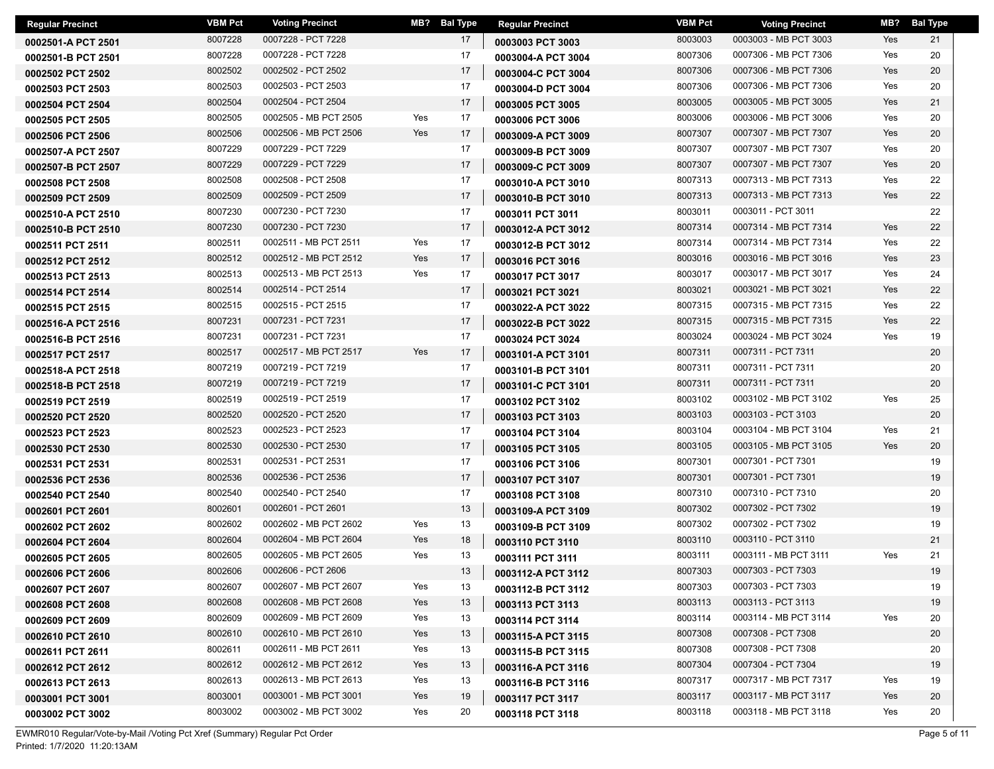| <b>Regular Precinct</b> | VBM Pct | <b>Voting Precinct</b> |     | MB? Bal Type | <b>Regular Precinct</b> | <b>VBM Pct</b> | <b>Voting Precinct</b> | MB? | <b>Bal Type</b> |
|-------------------------|---------|------------------------|-----|--------------|-------------------------|----------------|------------------------|-----|-----------------|
| 0002501-A PCT 2501      | 8007228 | 0007228 - PCT 7228     |     | 17           | 0003003 PCT 3003        | 8003003        | 0003003 - MB PCT 3003  | Yes | 21              |
| 0002501-B PCT 2501      | 8007228 | 0007228 - PCT 7228     |     | 17           | 0003004-A PCT 3004      | 8007306        | 0007306 - MB PCT 7306  | Yes | 20              |
| 0002502 PCT 2502        | 8002502 | 0002502 - PCT 2502     |     | 17           | 0003004-C PCT 3004      | 8007306        | 0007306 - MB PCT 7306  | Yes | 20              |
| 0002503 PCT 2503        | 8002503 | 0002503 - PCT 2503     |     | 17           | 0003004-D PCT 3004      | 8007306        | 0007306 - MB PCT 7306  | Yes | 20              |
| 0002504 PCT 2504        | 8002504 | 0002504 - PCT 2504     |     | 17           | 0003005 PCT 3005        | 8003005        | 0003005 - MB PCT 3005  | Yes | 21              |
| 0002505 PCT 2505        | 8002505 | 0002505 - MB PCT 2505  | Yes | 17           | 0003006 PCT 3006        | 8003006        | 0003006 - MB PCT 3006  | Yes | 20              |
| 0002506 PCT 2506        | 8002506 | 0002506 - MB PCT 2506  | Yes | 17           | 0003009-A PCT 3009      | 8007307        | 0007307 - MB PCT 7307  | Yes | 20              |
| 0002507-A PCT 2507      | 8007229 | 0007229 - PCT 7229     |     | 17           | 0003009-B PCT 3009      | 8007307        | 0007307 - MB PCT 7307  | Yes | 20              |
| 0002507-B PCT 2507      | 8007229 | 0007229 - PCT 7229     |     | 17           | 0003009-C PCT 3009      | 8007307        | 0007307 - MB PCT 7307  | Yes | 20              |
| 0002508 PCT 2508        | 8002508 | 0002508 - PCT 2508     |     | 17           | 0003010-A PCT 3010      | 8007313        | 0007313 - MB PCT 7313  | Yes | 22              |
| 0002509 PCT 2509        | 8002509 | 0002509 - PCT 2509     |     | 17           | 0003010-B PCT 3010      | 8007313        | 0007313 - MB PCT 7313  | Yes | 22              |
| 0002510-A PCT 2510      | 8007230 | 0007230 - PCT 7230     |     | 17           | 0003011 PCT 3011        | 8003011        | 0003011 - PCT 3011     |     | 22              |
| 0002510-B PCT 2510      | 8007230 | 0007230 - PCT 7230     |     | 17           | 0003012-A PCT 3012      | 8007314        | 0007314 - MB PCT 7314  | Yes | 22              |
| 0002511 PCT 2511        | 8002511 | 0002511 - MB PCT 2511  | Yes | 17           | 0003012-B PCT 3012      | 8007314        | 0007314 - MB PCT 7314  | Yes | 22              |
| 0002512 PCT 2512        | 8002512 | 0002512 - MB PCT 2512  | Yes | 17           | 0003016 PCT 3016        | 8003016        | 0003016 - MB PCT 3016  | Yes | 23              |
| 0002513 PCT 2513        | 8002513 | 0002513 - MB PCT 2513  | Yes | 17           | 0003017 PCT 3017        | 8003017        | 0003017 - MB PCT 3017  | Yes | 24              |
| 0002514 PCT 2514        | 8002514 | 0002514 - PCT 2514     |     | 17           | 0003021 PCT 3021        | 8003021        | 0003021 - MB PCT 3021  | Yes | 22              |
| 0002515 PCT 2515        | 8002515 | 0002515 - PCT 2515     |     | 17           | 0003022-A PCT 3022      | 8007315        | 0007315 - MB PCT 7315  | Yes | 22              |
| 0002516-A PCT 2516      | 8007231 | 0007231 - PCT 7231     |     | 17           | 0003022-B PCT 3022      | 8007315        | 0007315 - MB PCT 7315  | Yes | 22              |
| 0002516-B PCT 2516      | 8007231 | 0007231 - PCT 7231     |     | 17           | 0003024 PCT 3024        | 8003024        | 0003024 - MB PCT 3024  | Yes | 19              |
| 0002517 PCT 2517        | 8002517 | 0002517 - MB PCT 2517  | Yes | 17           | 0003101-A PCT 3101      | 8007311        | 0007311 - PCT 7311     |     | 20              |
| 0002518-A PCT 2518      | 8007219 | 0007219 - PCT 7219     |     | 17           | 0003101-B PCT 3101      | 8007311        | 0007311 - PCT 7311     |     | 20              |
| 0002518-B PCT 2518      | 8007219 | 0007219 - PCT 7219     |     | 17           | 0003101-C PCT 3101      | 8007311        | 0007311 - PCT 7311     |     | 20              |
| 0002519 PCT 2519        | 8002519 | 0002519 - PCT 2519     |     | 17           | 0003102 PCT 3102        | 8003102        | 0003102 - MB PCT 3102  | Yes | 25              |
| 0002520 PCT 2520        | 8002520 | 0002520 - PCT 2520     |     | 17           | 0003103 PCT 3103        | 8003103        | 0003103 - PCT 3103     |     | 20              |
| 0002523 PCT 2523        | 8002523 | 0002523 - PCT 2523     |     | 17           | 0003104 PCT 3104        | 8003104        | 0003104 - MB PCT 3104  | Yes | 21              |
| 0002530 PCT 2530        | 8002530 | 0002530 - PCT 2530     |     | 17           | 0003105 PCT 3105        | 8003105        | 0003105 - MB PCT 3105  | Yes | 20              |
| 0002531 PCT 2531        | 8002531 | 0002531 - PCT 2531     |     | 17           | 0003106 PCT 3106        | 8007301        | 0007301 - PCT 7301     |     | 19              |
| 0002536 PCT 2536        | 8002536 | 0002536 - PCT 2536     |     | 17           | 0003107 PCT 3107        | 8007301        | 0007301 - PCT 7301     |     | 19              |
| 0002540 PCT 2540        | 8002540 | 0002540 - PCT 2540     |     | 17           | 0003108 PCT 3108        | 8007310        | 0007310 - PCT 7310     |     | 20              |
| 0002601 PCT 2601        | 8002601 | 0002601 - PCT 2601     |     | 13           | 0003109-A PCT 3109      | 8007302        | 0007302 - PCT 7302     |     | 19              |
| 0002602 PCT 2602        | 8002602 | 0002602 - MB PCT 2602  | Yes | 13           | 0003109-B PCT 3109      | 8007302        | 0007302 - PCT 7302     |     | 19              |
| 0002604 PCT 2604        | 8002604 | 0002604 - MB PCT 2604  | Yes | 18           | 0003110 PCT 3110        | 8003110        | 0003110 - PCT 3110     |     | 21              |
| 0002605 PCT 2605        | 8002605 | 0002605 - MB PCT 2605  | Yes | 13           | 0003111 PCT 3111        | 8003111        | 0003111 - MB PCT 3111  | Yes | 21              |
| 0002606 PCT 2606        | 8002606 | 0002606 - PCT 2606     |     | 13           | 0003112-A PCT 3112      | 8007303        | 0007303 - PCT 7303     |     | 19              |
| 0002607 PCT 2607        | 8002607 | 0002607 - MB PCT 2607  | Yes | 13           | 0003112-B PCT 3112      | 8007303        | 0007303 - PCT 7303     |     | 19              |
| 0002608 PCT 2608        | 8002608 | 0002608 - MB PCT 2608  | Yes | 13           | 0003113 PCT 3113        | 8003113        | 0003113 - PCT 3113     |     | 19              |
| 0002609 PCT 2609        | 8002609 | 0002609 - MB PCT 2609  | Yes | 13           | 0003114 PCT 3114        | 8003114        | 0003114 - MB PCT 3114  | Yes | 20              |
| 0002610 PCT 2610        | 8002610 | 0002610 - MB PCT 2610  | Yes | 13           | 0003115-A PCT 3115      | 8007308        | 0007308 - PCT 7308     |     | 20              |
| 0002611 PCT 2611        | 8002611 | 0002611 - MB PCT 2611  | Yes | 13           | 0003115-B PCT 3115      | 8007308        | 0007308 - PCT 7308     |     | 20              |
| 0002612 PCT 2612        | 8002612 | 0002612 - MB PCT 2612  | Yes | 13           | 0003116-A PCT 3116      | 8007304        | 0007304 - PCT 7304     |     | 19              |
| 0002613 PCT 2613        | 8002613 | 0002613 - MB PCT 2613  | Yes | 13           | 0003116-B PCT 3116      | 8007317        | 0007317 - MB PCT 7317  | Yes | 19              |
| 0003001 PCT 3001        | 8003001 | 0003001 - MB PCT 3001  | Yes | 19           | 0003117 PCT 3117        | 8003117        | 0003117 - MB PCT 3117  | Yes | 20              |
| 0003002 PCT 3002        | 8003002 | 0003002 - MB PCT 3002  | Yes | 20           | 0003118 PCT 3118        | 8003118        | 0003118 - MB PCT 3118  | Yes | 20              |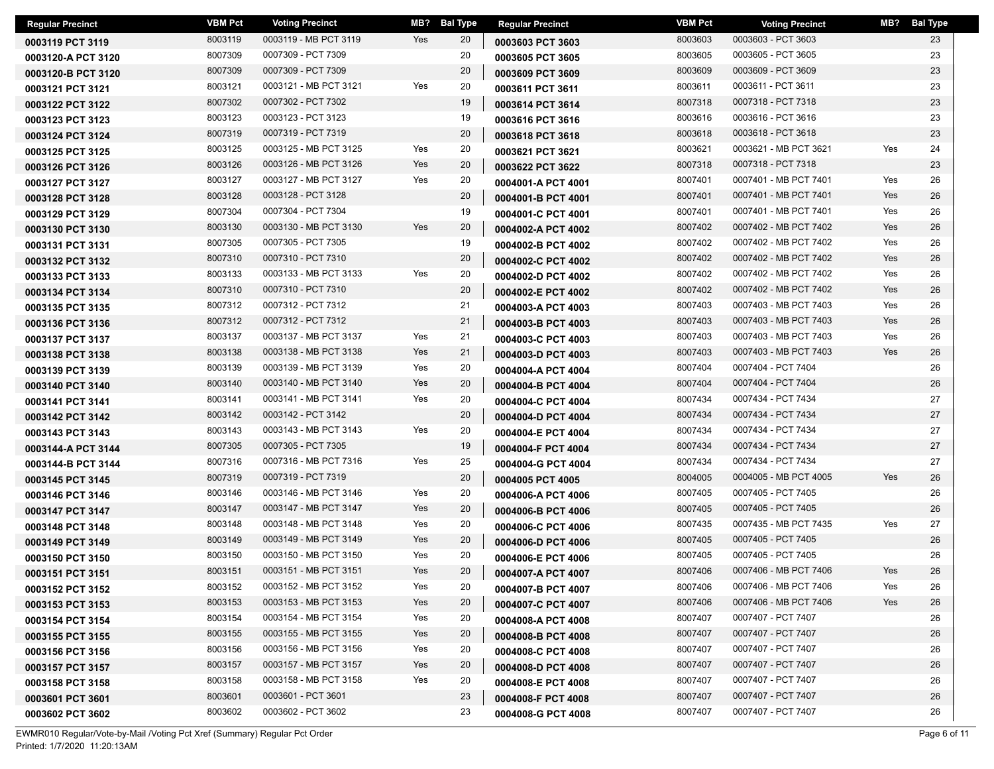| <b>Regular Precinct</b> | <b>VBM Pct</b> | <b>Voting Precinct</b> | MB? | <b>Bal Type</b> | <b>Regular Precinct</b> | <b>VBM Pct</b> | <b>Voting Precinct</b> | MB? | <b>Bal Type</b> |
|-------------------------|----------------|------------------------|-----|-----------------|-------------------------|----------------|------------------------|-----|-----------------|
| 0003119 PCT 3119        | 8003119        | 0003119 - MB PCT 3119  | Yes | 20              | 0003603 PCT 3603        | 8003603        | 0003603 - PCT 3603     |     | 23              |
| 0003120-A PCT 3120      | 8007309        | 0007309 - PCT 7309     |     | 20              | 0003605 PCT 3605        | 8003605        | 0003605 - PCT 3605     |     | 23              |
| 0003120-B PCT 3120      | 8007309        | 0007309 - PCT 7309     |     | 20              | 0003609 PCT 3609        | 8003609        | 0003609 - PCT 3609     |     | 23              |
| 0003121 PCT 3121        | 8003121        | 0003121 - MB PCT 3121  | Yes | 20              | 0003611 PCT 3611        | 8003611        | 0003611 - PCT 3611     |     | 23              |
| 0003122 PCT 3122        | 8007302        | 0007302 - PCT 7302     |     | 19              | 0003614 PCT 3614        | 8007318        | 0007318 - PCT 7318     |     | 23              |
| 0003123 PCT 3123        | 8003123        | 0003123 - PCT 3123     |     | 19              | 0003616 PCT 3616        | 8003616        | 0003616 - PCT 3616     |     | 23              |
| 0003124 PCT 3124        | 8007319        | 0007319 - PCT 7319     |     | 20              | 0003618 PCT 3618        | 8003618        | 0003618 - PCT 3618     |     | 23              |
| 0003125 PCT 3125        | 8003125        | 0003125 - MB PCT 3125  | Yes | 20              | 0003621 PCT 3621        | 8003621        | 0003621 - MB PCT 3621  | Yes | 24              |
| 0003126 PCT 3126        | 8003126        | 0003126 - MB PCT 3126  | Yes | 20              | 0003622 PCT 3622        | 8007318        | 0007318 - PCT 7318     |     | 23              |
| 0003127 PCT 3127        | 8003127        | 0003127 - MB PCT 3127  | Yes | 20              | 0004001-A PCT 4001      | 8007401        | 0007401 - MB PCT 7401  | Yes | 26              |
| 0003128 PCT 3128        | 8003128        | 0003128 - PCT 3128     |     | 20              | 0004001-B PCT 4001      | 8007401        | 0007401 - MB PCT 7401  | Yes | 26              |
| 0003129 PCT 3129        | 8007304        | 0007304 - PCT 7304     |     | 19              | 0004001-C PCT 4001      | 8007401        | 0007401 - MB PCT 7401  | Yes | 26              |
| 0003130 PCT 3130        | 8003130        | 0003130 - MB PCT 3130  | Yes | 20              | 0004002-A PCT 4002      | 8007402        | 0007402 - MB PCT 7402  | Yes | 26              |
| 0003131 PCT 3131        | 8007305        | 0007305 - PCT 7305     |     | 19              | 0004002-B PCT 4002      | 8007402        | 0007402 - MB PCT 7402  | Yes | 26              |
| 0003132 PCT 3132        | 8007310        | 0007310 - PCT 7310     |     | 20              | 0004002-C PCT 4002      | 8007402        | 0007402 - MB PCT 7402  | Yes | 26              |
| 0003133 PCT 3133        | 8003133        | 0003133 - MB PCT 3133  | Yes | 20              | 0004002-D PCT 4002      | 8007402        | 0007402 - MB PCT 7402  | Yes | 26              |
| 0003134 PCT 3134        | 8007310        | 0007310 - PCT 7310     |     | 20              | 0004002-E PCT 4002      | 8007402        | 0007402 - MB PCT 7402  | Yes | 26              |
| 0003135 PCT 3135        | 8007312        | 0007312 - PCT 7312     |     | 21              | 0004003-A PCT 4003      | 8007403        | 0007403 - MB PCT 7403  | Yes | 26              |
| 0003136 PCT 3136        | 8007312        | 0007312 - PCT 7312     |     | 21              | 0004003-B PCT 4003      | 8007403        | 0007403 - MB PCT 7403  | Yes | 26              |
| 0003137 PCT 3137        | 8003137        | 0003137 - MB PCT 3137  | Yes | 21              | 0004003-C PCT 4003      | 8007403        | 0007403 - MB PCT 7403  | Yes | 26              |
| 0003138 PCT 3138        | 8003138        | 0003138 - MB PCT 3138  | Yes | 21              | 0004003-D PCT 4003      | 8007403        | 0007403 - MB PCT 7403  | Yes | 26              |
| 0003139 PCT 3139        | 8003139        | 0003139 - MB PCT 3139  | Yes | 20              | 0004004-A PCT 4004      | 8007404        | 0007404 - PCT 7404     |     | 26              |
| 0003140 PCT 3140        | 8003140        | 0003140 - MB PCT 3140  | Yes | 20              | 0004004-B PCT 4004      | 8007404        | 0007404 - PCT 7404     |     | 26              |
| 0003141 PCT 3141        | 8003141        | 0003141 - MB PCT 3141  | Yes | 20              | 0004004-C PCT 4004      | 8007434        | 0007434 - PCT 7434     |     | 27              |
| 0003142 PCT 3142        | 8003142        | 0003142 - PCT 3142     |     | 20              | 0004004-D PCT 4004      | 8007434        | 0007434 - PCT 7434     |     | 27              |
| 0003143 PCT 3143        | 8003143        | 0003143 - MB PCT 3143  | Yes | 20              | 0004004-E PCT 4004      | 8007434        | 0007434 - PCT 7434     |     | 27              |
| 0003144-A PCT 3144      | 8007305        | 0007305 - PCT 7305     |     | 19              | 0004004-F PCT 4004      | 8007434        | 0007434 - PCT 7434     |     | 27              |
| 0003144-B PCT 3144      | 8007316        | 0007316 - MB PCT 7316  | Yes | 25              | 0004004-G PCT 4004      | 8007434        | 0007434 - PCT 7434     |     | 27              |
| 0003145 PCT 3145        | 8007319        | 0007319 - PCT 7319     |     | 20              | 0004005 PCT 4005        | 8004005        | 0004005 - MB PCT 4005  | Yes | 26              |
| 0003146 PCT 3146        | 8003146        | 0003146 - MB PCT 3146  | Yes | 20              | 0004006-A PCT 4006      | 8007405        | 0007405 - PCT 7405     |     | 26              |
| 0003147 PCT 3147        | 8003147        | 0003147 - MB PCT 3147  | Yes | 20              | 0004006-B PCT 4006      | 8007405        | 0007405 - PCT 7405     |     | 26              |
| 0003148 PCT 3148        | 8003148        | 0003148 - MB PCT 3148  | Yes | 20              | 0004006-C PCT 4006      | 8007435        | 0007435 - MB PCT 7435  | Yes | 27              |
| 0003149 PCT 3149        | 8003149        | 0003149 - MB PCT 3149  | Yes | 20              | 0004006-D PCT 4006      | 8007405        | 0007405 - PCT 7405     |     | 26              |
| 0003150 PCT 3150        | 8003150        | 0003150 - MB PCT 3150  | Yes | 20              | 0004006-E PCT 4006      | 8007405        | 0007405 - PCT 7405     |     | 26              |
| 0003151 PCT 3151        | 8003151        | 0003151 - MB PCT 3151  | Yes | 20              | 0004007-A PCT 4007      | 8007406        | 0007406 - MB PCT 7406  | Yes | 26              |
| 0003152 PCT 3152        | 8003152        | 0003152 - MB PCT 3152  | Yes | 20              | 0004007-B PCT 4007      | 8007406        | 0007406 - MB PCT 7406  | Yes | 26              |
| 0003153 PCT 3153        | 8003153        | 0003153 - MB PCT 3153  | Yes | 20              | 0004007-C PCT 4007      | 8007406        | 0007406 - MB PCT 7406  | Yes | 26              |
| 0003154 PCT 3154        | 8003154        | 0003154 - MB PCT 3154  | Yes | 20              | 0004008-A PCT 4008      | 8007407        | 0007407 - PCT 7407     |     | 26              |
| 0003155 PCT 3155        | 8003155        | 0003155 - MB PCT 3155  | Yes | 20              | 0004008-B PCT 4008      | 8007407        | 0007407 - PCT 7407     |     | 26              |
| 0003156 PCT 3156        | 8003156        | 0003156 - MB PCT 3156  | Yes | 20              | 0004008-C PCT 4008      | 8007407        | 0007407 - PCT 7407     |     | 26              |
| 0003157 PCT 3157        | 8003157        | 0003157 - MB PCT 3157  | Yes | 20              | 0004008-D PCT 4008      | 8007407        | 0007407 - PCT 7407     |     | 26              |
| 0003158 PCT 3158        | 8003158        | 0003158 - MB PCT 3158  | Yes | 20              | 0004008-E PCT 4008      | 8007407        | 0007407 - PCT 7407     |     | 26              |
| 0003601 PCT 3601        | 8003601        | 0003601 - PCT 3601     |     | 23              | 0004008-F PCT 4008      | 8007407        | 0007407 - PCT 7407     |     | 26              |
| 0003602 PCT 3602        | 8003602        | 0003602 - PCT 3602     |     | 23              | 0004008-G PCT 4008      | 8007407        | 0007407 - PCT 7407     |     | 26              |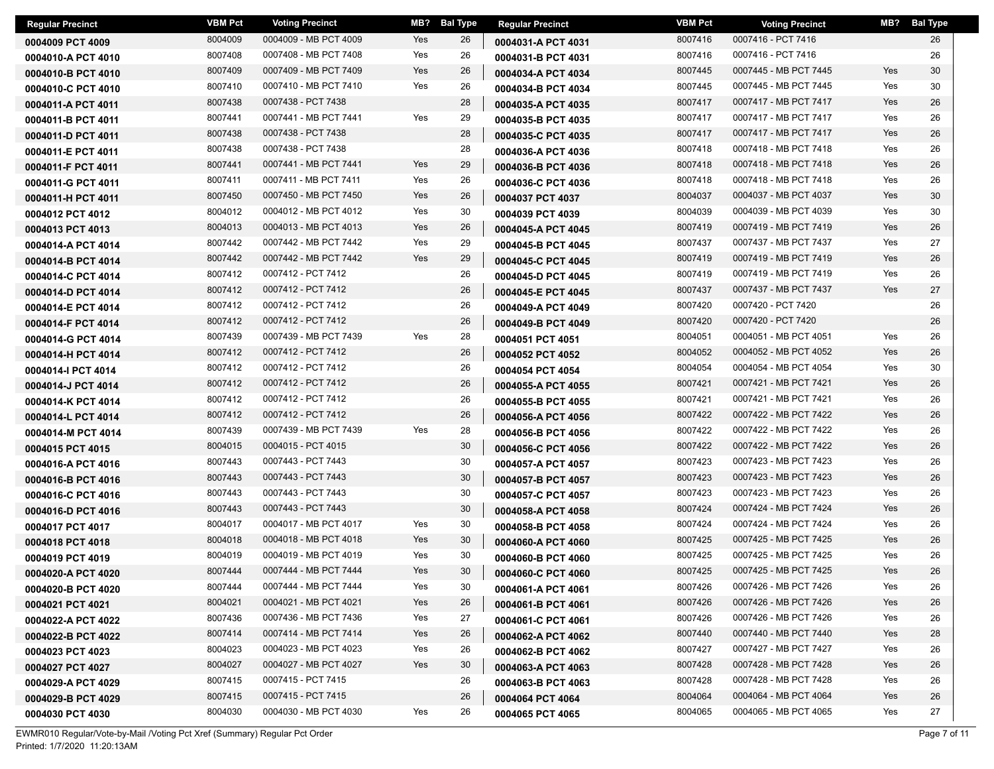| <b>Regular Precinct</b> | <b>VBM Pct</b> | <b>Voting Precinct</b> | MB? | <b>Bal Type</b> | <b>Regular Precinct</b> | <b>VBM Pct</b> | <b>Voting Precinct</b> | MB? | <b>Bal Type</b> |
|-------------------------|----------------|------------------------|-----|-----------------|-------------------------|----------------|------------------------|-----|-----------------|
| 0004009 PCT 4009        | 8004009        | 0004009 - MB PCT 4009  | Yes | 26              | 0004031-A PCT 4031      | 8007416        | 0007416 - PCT 7416     |     | 26              |
| 0004010-A PCT 4010      | 8007408        | 0007408 - MB PCT 7408  | Yes | 26              | 0004031-B PCT 4031      | 8007416        | 0007416 - PCT 7416     |     | 26              |
| 0004010-B PCT 4010      | 8007409        | 0007409 - MB PCT 7409  | Yes | 26              | 0004034-A PCT 4034      | 8007445        | 0007445 - MB PCT 7445  | Yes | 30              |
| 0004010-C PCT 4010      | 8007410        | 0007410 - MB PCT 7410  | Yes | 26              | 0004034-B PCT 4034      | 8007445        | 0007445 - MB PCT 7445  | Yes | 30              |
| 0004011-A PCT 4011      | 8007438        | 0007438 - PCT 7438     |     | 28              | 0004035-A PCT 4035      | 8007417        | 0007417 - MB PCT 7417  | Yes | 26              |
| 0004011-B PCT 4011      | 8007441        | 0007441 - MB PCT 7441  | Yes | 29              | 0004035-B PCT 4035      | 8007417        | 0007417 - MB PCT 7417  | Yes | 26              |
| 0004011-D PCT 4011      | 8007438        | 0007438 - PCT 7438     |     | 28              | 0004035-C PCT 4035      | 8007417        | 0007417 - MB PCT 7417  | Yes | 26              |
| 0004011-E PCT 4011      | 8007438        | 0007438 - PCT 7438     |     | 28              | 0004036-A PCT 4036      | 8007418        | 0007418 - MB PCT 7418  | Yes | 26              |
| 0004011-F PCT 4011      | 8007441        | 0007441 - MB PCT 7441  | Yes | 29              | 0004036-B PCT 4036      | 8007418        | 0007418 - MB PCT 7418  | Yes | 26              |
| 0004011-G PCT 4011      | 8007411        | 0007411 - MB PCT 7411  | Yes | 26              | 0004036-C PCT 4036      | 8007418        | 0007418 - MB PCT 7418  | Yes | 26              |
| 0004011-H PCT 4011      | 8007450        | 0007450 - MB PCT 7450  | Yes | 26              | 0004037 PCT 4037        | 8004037        | 0004037 - MB PCT 4037  | Yes | 30              |
| 0004012 PCT 4012        | 8004012        | 0004012 - MB PCT 4012  | Yes | 30              | 0004039 PCT 4039        | 8004039        | 0004039 - MB PCT 4039  | Yes | 30              |
| 0004013 PCT 4013        | 8004013        | 0004013 - MB PCT 4013  | Yes | 26              | 0004045-A PCT 4045      | 8007419        | 0007419 - MB PCT 7419  | Yes | 26              |
| 0004014-A PCT 4014      | 8007442        | 0007442 - MB PCT 7442  | Yes | 29              | 0004045-B PCT 4045      | 8007437        | 0007437 - MB PCT 7437  | Yes | 27              |
| 0004014-B PCT 4014      | 8007442        | 0007442 - MB PCT 7442  | Yes | 29              | 0004045-C PCT 4045      | 8007419        | 0007419 - MB PCT 7419  | Yes | 26              |
| 0004014-C PCT 4014      | 8007412        | 0007412 - PCT 7412     |     | 26              | 0004045-D PCT 4045      | 8007419        | 0007419 - MB PCT 7419  | Yes | 26              |
| 0004014-D PCT 4014      | 8007412        | 0007412 - PCT 7412     |     | 26              | 0004045-E PCT 4045      | 8007437        | 0007437 - MB PCT 7437  | Yes | 27              |
| 0004014-E PCT 4014      | 8007412        | 0007412 - PCT 7412     |     | 26              | 0004049-A PCT 4049      | 8007420        | 0007420 - PCT 7420     |     | 26              |
| 0004014-F PCT 4014      | 8007412        | 0007412 - PCT 7412     |     | 26              | 0004049-B PCT 4049      | 8007420        | 0007420 - PCT 7420     |     | 26              |
| 0004014-G PCT 4014      | 8007439        | 0007439 - MB PCT 7439  | Yes | 28              | 0004051 PCT 4051        | 8004051        | 0004051 - MB PCT 4051  | Yes | 26              |
| 0004014-H PCT 4014      | 8007412        | 0007412 - PCT 7412     |     | 26              | 0004052 PCT 4052        | 8004052        | 0004052 - MB PCT 4052  | Yes | 26              |
| 0004014-I PCT 4014      | 8007412        | 0007412 - PCT 7412     |     | 26              | 0004054 PCT 4054        | 8004054        | 0004054 - MB PCT 4054  | Yes | 30              |
| 0004014-J PCT 4014      | 8007412        | 0007412 - PCT 7412     |     | 26              | 0004055-A PCT 4055      | 8007421        | 0007421 - MB PCT 7421  | Yes | 26              |
| 0004014-K PCT 4014      | 8007412        | 0007412 - PCT 7412     |     | 26              | 0004055-B PCT 4055      | 8007421        | 0007421 - MB PCT 7421  | Yes | 26              |
| 0004014-L PCT 4014      | 8007412        | 0007412 - PCT 7412     |     | 26              | 0004056-A PCT 4056      | 8007422        | 0007422 - MB PCT 7422  | Yes | 26              |
| 0004014-M PCT 4014      | 8007439        | 0007439 - MB PCT 7439  | Yes | 28              | 0004056-B PCT 4056      | 8007422        | 0007422 - MB PCT 7422  | Yes | 26              |
| 0004015 PCT 4015        | 8004015        | 0004015 - PCT 4015     |     | 30              | 0004056-C PCT 4056      | 8007422        | 0007422 - MB PCT 7422  | Yes | 26              |
| 0004016-A PCT 4016      | 8007443        | 0007443 - PCT 7443     |     | 30              | 0004057-A PCT 4057      | 8007423        | 0007423 - MB PCT 7423  | Yes | 26              |
| 0004016-B PCT 4016      | 8007443        | 0007443 - PCT 7443     |     | 30              | 0004057-B PCT 4057      | 8007423        | 0007423 - MB PCT 7423  | Yes | 26              |
| 0004016-C PCT 4016      | 8007443        | 0007443 - PCT 7443     |     | 30              | 0004057-C PCT 4057      | 8007423        | 0007423 - MB PCT 7423  | Yes | 26              |
| 0004016-D PCT 4016      | 8007443        | 0007443 - PCT 7443     |     | 30              | 0004058-A PCT 4058      | 8007424        | 0007424 - MB PCT 7424  | Yes | 26              |
| 0004017 PCT 4017        | 8004017        | 0004017 - MB PCT 4017  | Yes | 30              | 0004058-B PCT 4058      | 8007424        | 0007424 - MB PCT 7424  | Yes | 26              |
| 0004018 PCT 4018        | 8004018        | 0004018 - MB PCT 4018  | Yes | 30              | 0004060-A PCT 4060      | 8007425        | 0007425 - MB PCT 7425  | Yes | 26              |
| 0004019 PCT 4019        | 8004019        | 0004019 - MB PCT 4019  | Yes | 30              | 0004060-B PCT 4060      | 8007425        | 0007425 - MB PCT 7425  | Yes | 26              |
| 0004020-A PCT 4020      | 8007444        | 0007444 - MB PCT 7444  | Yes | 30              | 0004060-C PCT 4060      | 8007425        | 0007425 - MB PCT 7425  | Yes | 26              |
| 0004020-B PCT 4020      | 8007444        | 0007444 - MB PCT 7444  | Yes | 30              | 0004061-A PCT 4061      | 8007426        | 0007426 - MB PCT 7426  | Yes | 26              |
| 0004021 PCT 4021        | 8004021        | 0004021 - MB PCT 4021  | Yes | 26              | 0004061-B PCT 4061      | 8007426        | 0007426 - MB PCT 7426  | Yes | 26              |
| 0004022-A PCT 4022      | 8007436        | 0007436 - MB PCT 7436  | Yes | 27              | 0004061-C PCT 4061      | 8007426        | 0007426 - MB PCT 7426  | Yes | 26              |
| 0004022-B PCT 4022      | 8007414        | 0007414 - MB PCT 7414  | Yes | 26              | 0004062-A PCT 4062      | 8007440        | 0007440 - MB PCT 7440  | Yes | 28              |
| 0004023 PCT 4023        | 8004023        | 0004023 - MB PCT 4023  | Yes | 26              | 0004062-B PCT 4062      | 8007427        | 0007427 - MB PCT 7427  | Yes | 26              |
| 0004027 PCT 4027        | 8004027        | 0004027 - MB PCT 4027  | Yes | 30              | 0004063-A PCT 4063      | 8007428        | 0007428 - MB PCT 7428  | Yes | 26              |
| 0004029-A PCT 4029      | 8007415        | 0007415 - PCT 7415     |     | 26              | 0004063-B PCT 4063      | 8007428        | 0007428 - MB PCT 7428  | Yes | 26              |
| 0004029-B PCT 4029      | 8007415        | 0007415 - PCT 7415     |     | 26              | 0004064 PCT 4064        | 8004064        | 0004064 - MB PCT 4064  | Yes | 26              |
| 0004030 PCT 4030        | 8004030        | 0004030 - MB PCT 4030  | Yes | 26              | 0004065 PCT 4065        | 8004065        | 0004065 - MB PCT 4065  | Yes | 27              |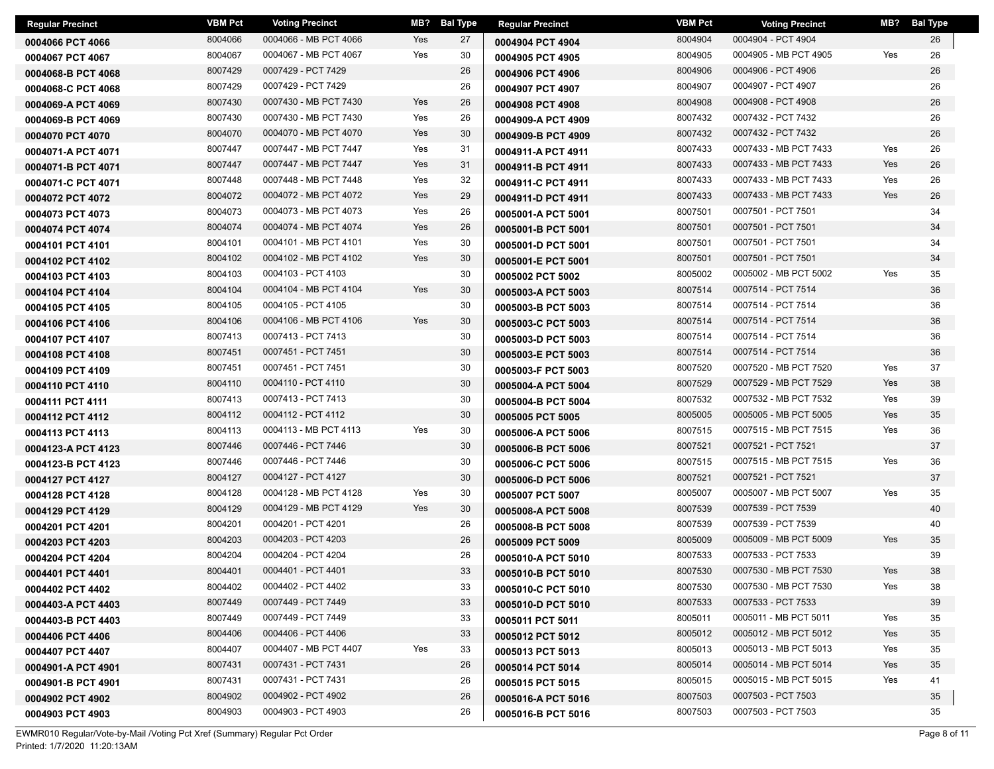| <b>Regular Precinct</b> | <b>VBM Pct</b> | <b>Voting Precinct</b> | MB? | Bal Type | <b>Regular Precinct</b> | <b>VBM Pct</b> | <b>Voting Precinct</b> |     | MB? Bal Type |
|-------------------------|----------------|------------------------|-----|----------|-------------------------|----------------|------------------------|-----|--------------|
| 0004066 PCT 4066        | 8004066        | 0004066 - MB PCT 4066  | Yes | 27       | 0004904 PCT 4904        | 8004904        | 0004904 - PCT 4904     |     | 26           |
| 0004067 PCT 4067        | 8004067        | 0004067 - MB PCT 4067  | Yes | 30       | 0004905 PCT 4905        | 8004905        | 0004905 - MB PCT 4905  | Yes | 26           |
| 0004068-B PCT 4068      | 8007429        | 0007429 - PCT 7429     |     | 26       | 0004906 PCT 4906        | 8004906        | 0004906 - PCT 4906     |     | 26           |
| 0004068-C PCT 4068      | 8007429        | 0007429 - PCT 7429     |     | 26       | 0004907 PCT 4907        | 8004907        | 0004907 - PCT 4907     |     | 26           |
| 0004069-A PCT 4069      | 8007430        | 0007430 - MB PCT 7430  | Yes | 26       | 0004908 PCT 4908        | 8004908        | 0004908 - PCT 4908     |     | 26           |
| 0004069-B PCT 4069      | 8007430        | 0007430 - MB PCT 7430  | Yes | 26       | 0004909-A PCT 4909      | 8007432        | 0007432 - PCT 7432     |     | 26           |
| 0004070 PCT 4070        | 8004070        | 0004070 - MB PCT 4070  | Yes | 30       | 0004909-B PCT 4909      | 8007432        | 0007432 - PCT 7432     |     | 26           |
| 0004071-A PCT 4071      | 8007447        | 0007447 - MB PCT 7447  | Yes | 31       | 0004911-A PCT 4911      | 8007433        | 0007433 - MB PCT 7433  | Yes | 26           |
| 0004071-B PCT 4071      | 8007447        | 0007447 - MB PCT 7447  | Yes | 31       | 0004911-B PCT 4911      | 8007433        | 0007433 - MB PCT 7433  | Yes | 26           |
| 0004071-C PCT 4071      | 8007448        | 0007448 - MB PCT 7448  | Yes | 32       | 0004911-C PCT 4911      | 8007433        | 0007433 - MB PCT 7433  | Yes | 26           |
| 0004072 PCT 4072        | 8004072        | 0004072 - MB PCT 4072  | Yes | 29       | 0004911-D PCT 4911      | 8007433        | 0007433 - MB PCT 7433  | Yes | 26           |
| 0004073 PCT 4073        | 8004073        | 0004073 - MB PCT 4073  | Yes | 26       | 0005001-A PCT 5001      | 8007501        | 0007501 - PCT 7501     |     | 34           |
| 0004074 PCT 4074        | 8004074        | 0004074 - MB PCT 4074  | Yes | 26       | 0005001-B PCT 5001      | 8007501        | 0007501 - PCT 7501     |     | 34           |
| 0004101 PCT 4101        | 8004101        | 0004101 - MB PCT 4101  | Yes | 30       | 0005001-D PCT 5001      | 8007501        | 0007501 - PCT 7501     |     | 34           |
| 0004102 PCT 4102        | 8004102        | 0004102 - MB PCT 4102  | Yes | 30       | 0005001-E PCT 5001      | 8007501        | 0007501 - PCT 7501     |     | 34           |
| 0004103 PCT 4103        | 8004103        | 0004103 - PCT 4103     |     | 30       | 0005002 PCT 5002        | 8005002        | 0005002 - MB PCT 5002  | Yes | 35           |
| 0004104 PCT 4104        | 8004104        | 0004104 - MB PCT 4104  | Yes | 30       | 0005003-A PCT 5003      | 8007514        | 0007514 - PCT 7514     |     | 36           |
| 0004105 PCT 4105        | 8004105        | 0004105 - PCT 4105     |     | 30       | 0005003-B PCT 5003      | 8007514        | 0007514 - PCT 7514     |     | 36           |
| 0004106 PCT 4106        | 8004106        | 0004106 - MB PCT 4106  | Yes | 30       | 0005003-C PCT 5003      | 8007514        | 0007514 - PCT 7514     |     | 36           |
| 0004107 PCT 4107        | 8007413        | 0007413 - PCT 7413     |     | 30       | 0005003-D PCT 5003      | 8007514        | 0007514 - PCT 7514     |     | 36           |
| 0004108 PCT 4108        | 8007451        | 0007451 - PCT 7451     |     | 30       | 0005003-E PCT 5003      | 8007514        | 0007514 - PCT 7514     |     | 36           |
| 0004109 PCT 4109        | 8007451        | 0007451 - PCT 7451     |     | 30       | 0005003-F PCT 5003      | 8007520        | 0007520 - MB PCT 7520  | Yes | 37           |
| 0004110 PCT 4110        | 8004110        | 0004110 - PCT 4110     |     | 30       | 0005004-A PCT 5004      | 8007529        | 0007529 - MB PCT 7529  | Yes | 38           |
| 0004111 PCT 4111        | 8007413        | 0007413 - PCT 7413     |     | 30       | 0005004-B PCT 5004      | 8007532        | 0007532 - MB PCT 7532  | Yes | 39           |
| 0004112 PCT 4112        | 8004112        | 0004112 - PCT 4112     |     | 30       | 0005005 PCT 5005        | 8005005        | 0005005 - MB PCT 5005  | Yes | 35           |
| 0004113 PCT 4113        | 8004113        | 0004113 - MB PCT 4113  | Yes | 30       | 0005006-A PCT 5006      | 8007515        | 0007515 - MB PCT 7515  | Yes | 36           |
| 0004123-A PCT 4123      | 8007446        | 0007446 - PCT 7446     |     | 30       | 0005006-B PCT 5006      | 8007521        | 0007521 - PCT 7521     |     | 37           |
| 0004123-B PCT 4123      | 8007446        | 0007446 - PCT 7446     |     | 30       | 0005006-C PCT 5006      | 8007515        | 0007515 - MB PCT 7515  | Yes | 36           |
| 0004127 PCT 4127        | 8004127        | 0004127 - PCT 4127     |     | 30       | 0005006-D PCT 5006      | 8007521        | 0007521 - PCT 7521     |     | 37           |
| 0004128 PCT 4128        | 8004128        | 0004128 - MB PCT 4128  | Yes | 30       | 0005007 PCT 5007        | 8005007        | 0005007 - MB PCT 5007  | Yes | 35           |
| 0004129 PCT 4129        | 8004129        | 0004129 - MB PCT 4129  | Yes | 30       | 0005008-A PCT 5008      | 8007539        | 0007539 - PCT 7539     |     | 40           |
| 0004201 PCT 4201        | 8004201        | 0004201 - PCT 4201     |     | 26       | 0005008-B PCT 5008      | 8007539        | 0007539 - PCT 7539     |     | 40           |
| 0004203 PCT 4203        | 8004203        | 0004203 - PCT 4203     |     | 26       | 0005009 PCT 5009        | 8005009        | 0005009 - MB PCT 5009  | Yes | 35           |
| 0004204 PCT 4204        | 8004204        | 0004204 - PCT 4204     |     | 26       | 0005010-A PCT 5010      | 8007533        | 0007533 - PCT 7533     |     | 39           |
| 0004401 PCT 4401        | 8004401        | 0004401 - PCT 4401     |     | 33       | 0005010-B PCT 5010      | 8007530        | 0007530 - MB PCT 7530  | Yes | 38           |
| 0004402 PCT 4402        | 8004402        | 0004402 - PCT 4402     |     | 33       | 0005010-C PCT 5010      | 8007530        | 0007530 - MB PCT 7530  | Yes | 38           |
| 0004403-A PCT 4403      | 8007449        | 0007449 - PCT 7449     |     | 33       | 0005010-D PCT 5010      | 8007533        | 0007533 - PCT 7533     |     | 39           |
| 0004403-B PCT 4403      | 8007449        | 0007449 - PCT 7449     |     | 33       | 0005011 PCT 5011        | 8005011        | 0005011 - MB PCT 5011  | Yes | 35           |
| 0004406 PCT 4406        | 8004406        | 0004406 - PCT 4406     |     | 33       | 0005012 PCT 5012        | 8005012        | 0005012 - MB PCT 5012  | Yes | 35           |
| 0004407 PCT 4407        | 8004407        | 0004407 - MB PCT 4407  | Yes | 33       | 0005013 PCT 5013        | 8005013        | 0005013 - MB PCT 5013  | Yes | 35           |
| 0004901-A PCT 4901      | 8007431        | 0007431 - PCT 7431     |     | 26       | 0005014 PCT 5014        | 8005014        | 0005014 - MB PCT 5014  | Yes | 35           |
| 0004901-B PCT 4901      | 8007431        | 0007431 - PCT 7431     |     | 26       | 0005015 PCT 5015        | 8005015        | 0005015 - MB PCT 5015  | Yes | 41           |
| 0004902 PCT 4902        | 8004902        | 0004902 - PCT 4902     |     | 26       | 0005016-A PCT 5016      | 8007503        | 0007503 - PCT 7503     |     | 35           |
| 0004903 PCT 4903        | 8004903        | 0004903 - PCT 4903     |     | 26       | 0005016-B PCT 5016      | 8007503        | 0007503 - PCT 7503     |     | 35           |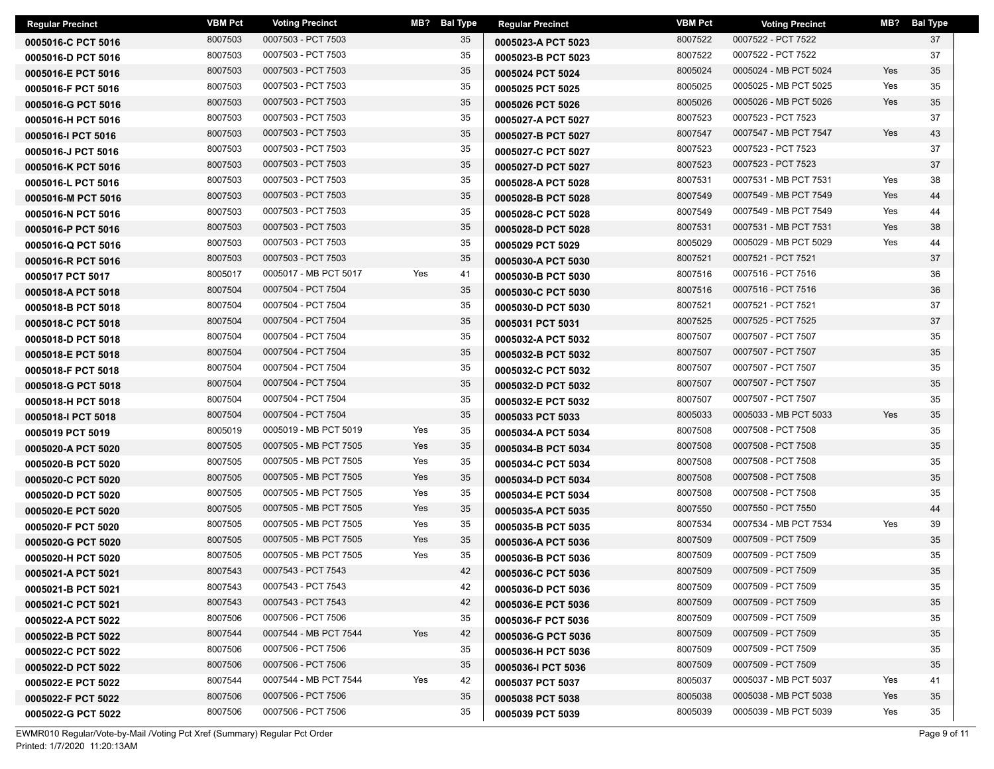| <b>Regular Precinct</b> | <b>VBM Pct</b> | <b>Voting Precinct</b> | MB?<br><b>Bal Type</b> | <b>Regular Precinct</b> | <b>VBM Pct</b> | <b>Voting Precinct</b> | MB? | <b>Bal Type</b> |
|-------------------------|----------------|------------------------|------------------------|-------------------------|----------------|------------------------|-----|-----------------|
| 0005016-C PCT 5016      | 8007503        | 0007503 - PCT 7503     | 35                     | 0005023-A PCT 5023      | 8007522        | 0007522 - PCT 7522     |     | 37              |
| 0005016-D PCT 5016      | 8007503        | 0007503 - PCT 7503     | 35                     | 0005023-B PCT 5023      | 8007522        | 0007522 - PCT 7522     |     | 37              |
| 0005016-E PCT 5016      | 8007503        | 0007503 - PCT 7503     | 35                     | 0005024 PCT 5024        | 8005024        | 0005024 - MB PCT 5024  | Yes | 35              |
| 0005016-F PCT 5016      | 8007503        | 0007503 - PCT 7503     | 35                     | 0005025 PCT 5025        | 8005025        | 0005025 - MB PCT 5025  | Yes | 35              |
| 0005016-G PCT 5016      | 8007503        | 0007503 - PCT 7503     | 35                     | 0005026 PCT 5026        | 8005026        | 0005026 - MB PCT 5026  | Yes | 35              |
| 0005016-H PCT 5016      | 8007503        | 0007503 - PCT 7503     | 35                     | 0005027-A PCT 5027      | 8007523        | 0007523 - PCT 7523     |     | 37              |
| 0005016-I PCT 5016      | 8007503        | 0007503 - PCT 7503     | 35                     | 0005027-B PCT 5027      | 8007547        | 0007547 - MB PCT 7547  | Yes | 43              |
| 0005016-J PCT 5016      | 8007503        | 0007503 - PCT 7503     | 35                     | 0005027-C PCT 5027      | 8007523        | 0007523 - PCT 7523     |     | 37              |
| 0005016-K PCT 5016      | 8007503        | 0007503 - PCT 7503     | 35                     | 0005027-D PCT 5027      | 8007523        | 0007523 - PCT 7523     |     | 37              |
| 0005016-L PCT 5016      | 8007503        | 0007503 - PCT 7503     | 35                     | 0005028-A PCT 5028      | 8007531        | 0007531 - MB PCT 7531  | Yes | 38              |
| 0005016-M PCT 5016      | 8007503        | 0007503 - PCT 7503     | 35                     | 0005028-B PCT 5028      | 8007549        | 0007549 - MB PCT 7549  | Yes | 44              |
| 0005016-N PCT 5016      | 8007503        | 0007503 - PCT 7503     | 35                     | 0005028-C PCT 5028      | 8007549        | 0007549 - MB PCT 7549  | Yes | 44              |
| 0005016-P PCT 5016      | 8007503        | 0007503 - PCT 7503     | 35                     | 0005028-D PCT 5028      | 8007531        | 0007531 - MB PCT 7531  | Yes | 38              |
| 0005016-Q PCT 5016      | 8007503        | 0007503 - PCT 7503     | 35                     | 0005029 PCT 5029        | 8005029        | 0005029 - MB PCT 5029  | Yes | 44              |
| 0005016-R PCT 5016      | 8007503        | 0007503 - PCT 7503     | 35                     | 0005030-A PCT 5030      | 8007521        | 0007521 - PCT 7521     |     | 37              |
| 0005017 PCT 5017        | 8005017        | 0005017 - MB PCT 5017  | Yes<br>41              | 0005030-B PCT 5030      | 8007516        | 0007516 - PCT 7516     |     | 36              |
| 0005018-A PCT 5018      | 8007504        | 0007504 - PCT 7504     | 35                     | 0005030-C PCT 5030      | 8007516        | 0007516 - PCT 7516     |     | 36              |
| 0005018-B PCT 5018      | 8007504        | 0007504 - PCT 7504     | 35                     | 0005030-D PCT 5030      | 8007521        | 0007521 - PCT 7521     |     | 37              |
| 0005018-C PCT 5018      | 8007504        | 0007504 - PCT 7504     | 35                     | 0005031 PCT 5031        | 8007525        | 0007525 - PCT 7525     |     | 37              |
| 0005018-D PCT 5018      | 8007504        | 0007504 - PCT 7504     | 35                     | 0005032-A PCT 5032      | 8007507        | 0007507 - PCT 7507     |     | 35              |
| 0005018-E PCT 5018      | 8007504        | 0007504 - PCT 7504     | 35                     | 0005032-B PCT 5032      | 8007507        | 0007507 - PCT 7507     |     | 35              |
| 0005018-F PCT 5018      | 8007504        | 0007504 - PCT 7504     | 35                     | 0005032-C PCT 5032      | 8007507        | 0007507 - PCT 7507     |     | 35              |
| 0005018-G PCT 5018      | 8007504        | 0007504 - PCT 7504     | 35                     | 0005032-D PCT 5032      | 8007507        | 0007507 - PCT 7507     |     | 35              |
| 0005018-H PCT 5018      | 8007504        | 0007504 - PCT 7504     | 35                     | 0005032-E PCT 5032      | 8007507        | 0007507 - PCT 7507     |     | 35              |
| 0005018-I PCT 5018      | 8007504        | 0007504 - PCT 7504     | 35                     | 0005033 PCT 5033        | 8005033        | 0005033 - MB PCT 5033  | Yes | 35              |
| 0005019 PCT 5019        | 8005019        | 0005019 - MB PCT 5019  | Yes<br>35              | 0005034-A PCT 5034      | 8007508        | 0007508 - PCT 7508     |     | 35              |
| 0005020-A PCT 5020      | 8007505        | 0007505 - MB PCT 7505  | Yes<br>35              | 0005034-B PCT 5034      | 8007508        | 0007508 - PCT 7508     |     | 35              |
| 0005020-B PCT 5020      | 8007505        | 0007505 - MB PCT 7505  | Yes<br>35              | 0005034-C PCT 5034      | 8007508        | 0007508 - PCT 7508     |     | 35              |
| 0005020-C PCT 5020      | 8007505        | 0007505 - MB PCT 7505  | Yes<br>35              | 0005034-D PCT 5034      | 8007508        | 0007508 - PCT 7508     |     | 35              |
| 0005020-D PCT 5020      | 8007505        | 0007505 - MB PCT 7505  | Yes<br>35              | 0005034-E PCT 5034      | 8007508        | 0007508 - PCT 7508     |     | 35              |
| 0005020-E PCT 5020      | 8007505        | 0007505 - MB PCT 7505  | Yes<br>35              | 0005035-A PCT 5035      | 8007550        | 0007550 - PCT 7550     |     | 44              |
| 0005020-F PCT 5020      | 8007505        | 0007505 - MB PCT 7505  | Yes<br>35              | 0005035-B PCT 5035      | 8007534        | 0007534 - MB PCT 7534  | Yes | 39              |
| 0005020-G PCT 5020      | 8007505        | 0007505 - MB PCT 7505  | Yes<br>35              | 0005036-A PCT 5036      | 8007509        | 0007509 - PCT 7509     |     | 35              |
| 0005020-H PCT 5020      | 8007505        | 0007505 - MB PCT 7505  | Yes<br>35              | 0005036-B PCT 5036      | 8007509        | 0007509 - PCT 7509     |     | 35              |
| 0005021-A PCT 5021      | 8007543        | 0007543 - PCT 7543     | 42                     | 0005036-C PCT 5036      | 8007509        | 0007509 - PCT 7509     |     | 35              |
| 0005021-B PCT 5021      | 8007543        | 0007543 - PCT 7543     | 42                     | 0005036-D PCT 5036      | 8007509        | 0007509 - PCT 7509     |     | 35              |
| 0005021-C PCT 5021      | 8007543        | 0007543 - PCT 7543     | 42                     | 0005036-E PCT 5036      | 8007509        | 0007509 - PCT 7509     |     | 35              |
| 0005022-A PCT 5022      | 8007506        | 0007506 - PCT 7506     | 35                     | 0005036-F PCT 5036      | 8007509        | 0007509 - PCT 7509     |     | 35              |
| 0005022-B PCT 5022      | 8007544        | 0007544 - MB PCT 7544  | Yes<br>42              | 0005036-G PCT 5036      | 8007509        | 0007509 - PCT 7509     |     | 35              |
| 0005022-C PCT 5022      | 8007506        | 0007506 - PCT 7506     | 35                     | 0005036-H PCT 5036      | 8007509        | 0007509 - PCT 7509     |     | 35              |
| 0005022-D PCT 5022      | 8007506        | 0007506 - PCT 7506     | 35                     | 0005036-I PCT 5036      | 8007509        | 0007509 - PCT 7509     |     | 35              |
| 0005022-E PCT 5022      | 8007544        | 0007544 - MB PCT 7544  | Yes<br>42              | 0005037 PCT 5037        | 8005037        | 0005037 - MB PCT 5037  | Yes | 41              |
| 0005022-F PCT 5022      | 8007506        | 0007506 - PCT 7506     | 35                     | 0005038 PCT 5038        | 8005038        | 0005038 - MB PCT 5038  | Yes | 35              |
| 0005022-G PCT 5022      | 8007506        | 0007506 - PCT 7506     | 35                     | 0005039 PCT 5039        | 8005039        | 0005039 - MB PCT 5039  | Yes | 35              |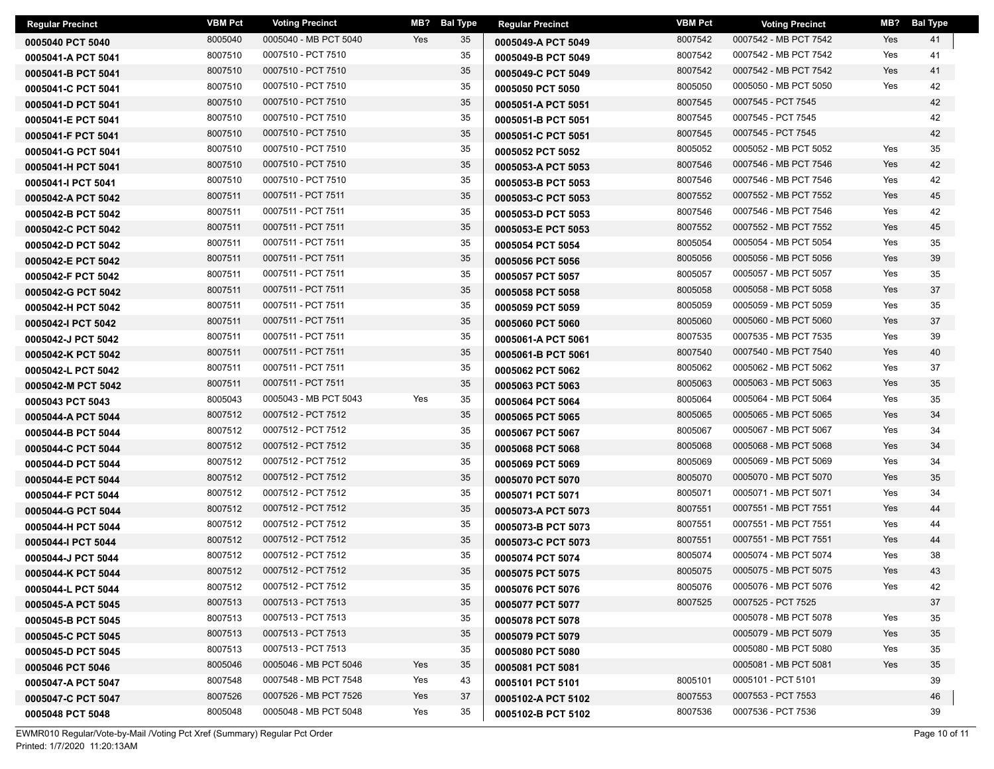| <b>Regular Precinct</b> | <b>VBM Pct</b> | <b>Voting Precinct</b> | MB? | <b>Bal Type</b> | <b>Regular Precinct</b> | <b>VBM Pct</b> | <b>Voting Precinct</b> | MB? | <b>Bal Type</b> |
|-------------------------|----------------|------------------------|-----|-----------------|-------------------------|----------------|------------------------|-----|-----------------|
| 0005040 PCT 5040        | 8005040        | 0005040 - MB PCT 5040  | Yes | 35              | 0005049-A PCT 5049      | 8007542        | 0007542 - MB PCT 7542  | Yes | 41              |
| 0005041-A PCT 5041      | 8007510        | 0007510 - PCT 7510     |     | 35              | 0005049-B PCT 5049      | 8007542        | 0007542 - MB PCT 7542  | Yes | 41              |
| 0005041-B PCT 5041      | 8007510        | 0007510 - PCT 7510     |     | 35              | 0005049-C PCT 5049      | 8007542        | 0007542 - MB PCT 7542  | Yes | 41              |
| 0005041-C PCT 5041      | 8007510        | 0007510 - PCT 7510     |     | 35              | 0005050 PCT 5050        | 8005050        | 0005050 - MB PCT 5050  | Yes | 42              |
| 0005041-D PCT 5041      | 8007510        | 0007510 - PCT 7510     |     | 35              | 0005051-A PCT 5051      | 8007545        | 0007545 - PCT 7545     |     | 42              |
| 0005041-E PCT 5041      | 8007510        | 0007510 - PCT 7510     |     | 35              | 0005051-B PCT 5051      | 8007545        | 0007545 - PCT 7545     |     | 42              |
| 0005041-F PCT 5041      | 8007510        | 0007510 - PCT 7510     |     | 35              | 0005051-C PCT 5051      | 8007545        | 0007545 - PCT 7545     |     | 42              |
| 0005041-G PCT 5041      | 8007510        | 0007510 - PCT 7510     |     | 35              | 0005052 PCT 5052        | 8005052        | 0005052 - MB PCT 5052  | Yes | 35              |
| 0005041-H PCT 5041      | 8007510        | 0007510 - PCT 7510     |     | 35              | 0005053-A PCT 5053      | 8007546        | 0007546 - MB PCT 7546  | Yes | 42              |
| 0005041-I PCT 5041      | 8007510        | 0007510 - PCT 7510     |     | 35              | 0005053-B PCT 5053      | 8007546        | 0007546 - MB PCT 7546  | Yes | 42              |
| 0005042-A PCT 5042      | 8007511        | 0007511 - PCT 7511     |     | 35              | 0005053-C PCT 5053      | 8007552        | 0007552 - MB PCT 7552  | Yes | 45              |
| 0005042-B PCT 5042      | 8007511        | 0007511 - PCT 7511     |     | 35              | 0005053-D PCT 5053      | 8007546        | 0007546 - MB PCT 7546  | Yes | 42              |
| 0005042-C PCT 5042      | 8007511        | 0007511 - PCT 7511     |     | 35              | 0005053-E PCT 5053      | 8007552        | 0007552 - MB PCT 7552  | Yes | 45              |
| 0005042-D PCT 5042      | 8007511        | 0007511 - PCT 7511     |     | 35              | 0005054 PCT 5054        | 8005054        | 0005054 - MB PCT 5054  | Yes | 35              |
| 0005042-E PCT 5042      | 8007511        | 0007511 - PCT 7511     |     | 35              | 0005056 PCT 5056        | 8005056        | 0005056 - MB PCT 5056  | Yes | 39              |
| 0005042-F PCT 5042      | 8007511        | 0007511 - PCT 7511     |     | 35              | 0005057 PCT 5057        | 8005057        | 0005057 - MB PCT 5057  | Yes | 35              |
| 0005042-G PCT 5042      | 8007511        | 0007511 - PCT 7511     |     | 35              | 0005058 PCT 5058        | 8005058        | 0005058 - MB PCT 5058  | Yes | 37              |
| 0005042-H PCT 5042      | 8007511        | 0007511 - PCT 7511     |     | 35              | 0005059 PCT 5059        | 8005059        | 0005059 - MB PCT 5059  | Yes | 35              |
| 0005042-I PCT 5042      | 8007511        | 0007511 - PCT 7511     |     | 35              | 0005060 PCT 5060        | 8005060        | 0005060 - MB PCT 5060  | Yes | 37              |
| 0005042-J PCT 5042      | 8007511        | 0007511 - PCT 7511     |     | 35              | 0005061-A PCT 5061      | 8007535        | 0007535 - MB PCT 7535  | Yes | 39              |
| 0005042-K PCT 5042      | 8007511        | 0007511 - PCT 7511     |     | 35              | 0005061-B PCT 5061      | 8007540        | 0007540 - MB PCT 7540  | Yes | 40              |
| 0005042-L PCT 5042      | 8007511        | 0007511 - PCT 7511     |     | 35              | 0005062 PCT 5062        | 8005062        | 0005062 - MB PCT 5062  | Yes | 37              |
| 0005042-M PCT 5042      | 8007511        | 0007511 - PCT 7511     |     | 35              | 0005063 PCT 5063        | 8005063        | 0005063 - MB PCT 5063  | Yes | 35              |
| 0005043 PCT 5043        | 8005043        | 0005043 - MB PCT 5043  | Yes | 35              | 0005064 PCT 5064        | 8005064        | 0005064 - MB PCT 5064  | Yes | 35              |
| 0005044-A PCT 5044      | 8007512        | 0007512 - PCT 7512     |     | 35              | 0005065 PCT 5065        | 8005065        | 0005065 - MB PCT 5065  | Yes | 34              |
| 0005044-B PCT 5044      | 8007512        | 0007512 - PCT 7512     |     | 35              | 0005067 PCT 5067        | 8005067        | 0005067 - MB PCT 5067  | Yes | 34              |
| 0005044-C PCT 5044      | 8007512        | 0007512 - PCT 7512     |     | 35              | 0005068 PCT 5068        | 8005068        | 0005068 - MB PCT 5068  | Yes | 34              |
| 0005044-D PCT 5044      | 8007512        | 0007512 - PCT 7512     |     | 35              | 0005069 PCT 5069        | 8005069        | 0005069 - MB PCT 5069  | Yes | 34              |
| 0005044-E PCT 5044      | 8007512        | 0007512 - PCT 7512     |     | 35              | 0005070 PCT 5070        | 8005070        | 0005070 - MB PCT 5070  | Yes | 35              |
| 0005044-F PCT 5044      | 8007512        | 0007512 - PCT 7512     |     | 35              | 0005071 PCT 5071        | 8005071        | 0005071 - MB PCT 5071  | Yes | 34              |
| 0005044-G PCT 5044      | 8007512        | 0007512 - PCT 7512     |     | 35              | 0005073-A PCT 5073      | 8007551        | 0007551 - MB PCT 7551  | Yes | 44              |
| 0005044-H PCT 5044      | 8007512        | 0007512 - PCT 7512     |     | 35              | 0005073-B PCT 5073      | 8007551        | 0007551 - MB PCT 7551  | Yes | 44              |
| 0005044-I PCT 5044      | 8007512        | 0007512 - PCT 7512     |     | 35              | 0005073-C PCT 5073      | 8007551        | 0007551 - MB PCT 7551  | Yes | 44              |
| 0005044-J PCT 5044      | 8007512        | 0007512 - PCT 7512     |     | 35              | 0005074 PCT 5074        | 8005074        | 0005074 - MB PCT 5074  | Yes | 38              |
| 0005044-K PCT 5044      | 8007512        | 0007512 - PCT 7512     |     | 35              | 0005075 PCT 5075        | 8005075        | 0005075 - MB PCT 5075  | Yes | 43              |
| 0005044-L PCT 5044      | 8007512        | 0007512 - PCT 7512     |     | 35              | 0005076 PCT 5076        | 8005076        | 0005076 - MB PCT 5076  | Yes | 42              |
| 0005045-A PCT 5045      | 8007513        | 0007513 - PCT 7513     |     | 35              | 0005077 PCT 5077        | 8007525        | 0007525 - PCT 7525     |     | 37              |
| 0005045-B PCT 5045      | 8007513        | 0007513 - PCT 7513     |     | 35              | 0005078 PCT 5078        |                | 0005078 - MB PCT 5078  | Yes | 35              |
| 0005045-C PCT 5045      | 8007513        | 0007513 - PCT 7513     |     | 35              | 0005079 PCT 5079        |                | 0005079 - MB PCT 5079  | Yes | 35              |
| 0005045-D PCT 5045      | 8007513        | 0007513 - PCT 7513     |     | 35              | 0005080 PCT 5080        |                | 0005080 - MB PCT 5080  | Yes | 35              |
| 0005046 PCT 5046        | 8005046        | 0005046 - MB PCT 5046  | Yes | 35              | 0005081 PCT 5081        |                | 0005081 - MB PCT 5081  | Yes | 35              |
| 0005047-A PCT 5047      | 8007548        | 0007548 - MB PCT 7548  | Yes | 43              | 0005101 PCT 5101        | 8005101        | 0005101 - PCT 5101     |     | 39              |
| 0005047-C PCT 5047      | 8007526        | 0007526 - MB PCT 7526  | Yes | 37              | 0005102-A PCT 5102      | 8007553        | 0007553 - PCT 7553     |     | 46              |
| 0005048 PCT 5048        | 8005048        | 0005048 - MB PCT 5048  | Yes | 35              | 0005102-B PCT 5102      | 8007536        | 0007536 - PCT 7536     |     | 39              |